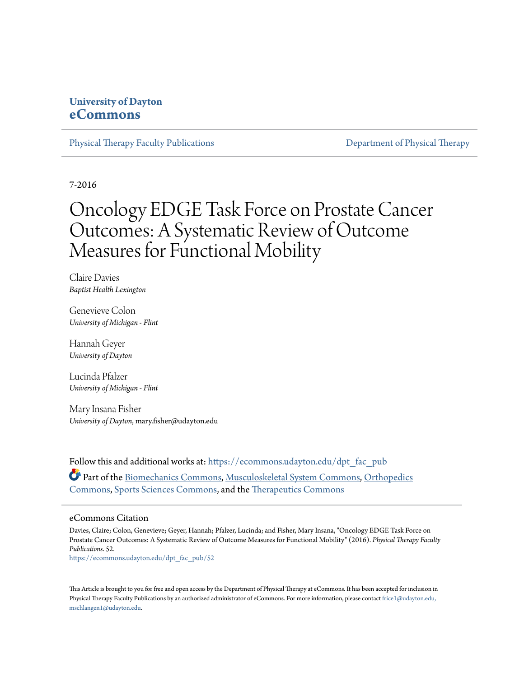# **University of Dayton [eCommons](https://ecommons.udayton.edu?utm_source=ecommons.udayton.edu%2Fdpt_fac_pub%2F52&utm_medium=PDF&utm_campaign=PDFCoverPages)**

[Physical Therapy Faculty Publications](https://ecommons.udayton.edu/dpt_fac_pub?utm_source=ecommons.udayton.edu%2Fdpt_fac_pub%2F52&utm_medium=PDF&utm_campaign=PDFCoverPages) **[Department of Physical Therapy](https://ecommons.udayton.edu/dpt?utm_source=ecommons.udayton.edu%2Fdpt_fac_pub%2F52&utm_medium=PDF&utm_campaign=PDFCoverPages)** 

7-2016

# Oncology EDGE Task Force on Prostate Cancer Outcomes: A Systematic Review of Outcome Measures for Functional Mobility

Claire Davies *Baptist Health Lexington*

Genevieve Colon *University of Michigan - Flint*

Hannah Geyer *University of Dayton*

Lucinda Pfalzer *University of Michigan - Flint*

Mary Insana Fisher *University of Dayton*, mary.fisher@udayton.edu

Follow this and additional works at: [https://ecommons.udayton.edu/dpt\\_fac\\_pub](https://ecommons.udayton.edu/dpt_fac_pub?utm_source=ecommons.udayton.edu%2Fdpt_fac_pub%2F52&utm_medium=PDF&utm_campaign=PDFCoverPages) Part of the [Biomechanics Commons,](http://network.bepress.com/hgg/discipline/43?utm_source=ecommons.udayton.edu%2Fdpt_fac_pub%2F52&utm_medium=PDF&utm_campaign=PDFCoverPages) [Musculoskeletal System Commons,](http://network.bepress.com/hgg/discipline/938?utm_source=ecommons.udayton.edu%2Fdpt_fac_pub%2F52&utm_medium=PDF&utm_campaign=PDFCoverPages) [Orthopedics](http://network.bepress.com/hgg/discipline/696?utm_source=ecommons.udayton.edu%2Fdpt_fac_pub%2F52&utm_medium=PDF&utm_campaign=PDFCoverPages) [Commons,](http://network.bepress.com/hgg/discipline/696?utm_source=ecommons.udayton.edu%2Fdpt_fac_pub%2F52&utm_medium=PDF&utm_campaign=PDFCoverPages) [Sports Sciences Commons,](http://network.bepress.com/hgg/discipline/759?utm_source=ecommons.udayton.edu%2Fdpt_fac_pub%2F52&utm_medium=PDF&utm_campaign=PDFCoverPages) and the [Therapeutics Commons](http://network.bepress.com/hgg/discipline/993?utm_source=ecommons.udayton.edu%2Fdpt_fac_pub%2F52&utm_medium=PDF&utm_campaign=PDFCoverPages)

#### eCommons Citation

Davies, Claire; Colon, Genevieve; Geyer, Hannah; Pfalzer, Lucinda; and Fisher, Mary Insana, "Oncology EDGE Task Force on Prostate Cancer Outcomes: A Systematic Review of Outcome Measures for Functional Mobility" (2016). *Physical Therapy Faculty Publications*. 52.

[https://ecommons.udayton.edu/dpt\\_fac\\_pub/52](https://ecommons.udayton.edu/dpt_fac_pub/52?utm_source=ecommons.udayton.edu%2Fdpt_fac_pub%2F52&utm_medium=PDF&utm_campaign=PDFCoverPages)

This Article is brought to you for free and open access by the Department of Physical Therapy at eCommons. It has been accepted for inclusion in Physical Therapy Faculty Publications by an authorized administrator of eCommons. For more information, please contact [frice1@udayton.edu,](mailto:frice1@udayton.edu,%20mschlangen1@udayton.edu) [mschlangen1@udayton.edu.](mailto:frice1@udayton.edu,%20mschlangen1@udayton.edu)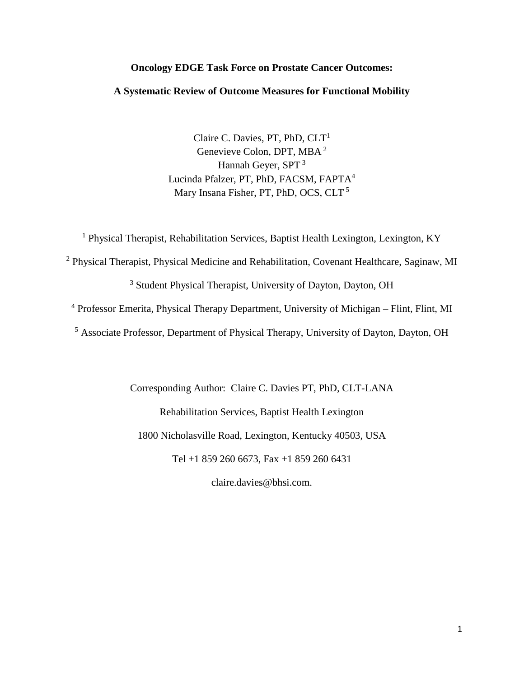### **Oncology EDGE Task Force on Prostate Cancer Outcomes:**

## **A Systematic Review of Outcome Measures for Functional Mobility**

Claire C. Davies, PT, PhD,  $CLT<sup>1</sup>$ Genevieve Colon, DPT, MBA <sup>2</sup> Hannah Geyer, SPT <sup>3</sup> Lucinda Pfalzer, PT, PhD, FACSM, FAPTA<sup>4</sup> Mary Insana Fisher, PT, PhD, OCS, CLT<sup>5</sup>

<sup>1</sup> Physical Therapist, Rehabilitation Services, Baptist Health Lexington, Lexington, KY

<sup>2</sup> Physical Therapist, Physical Medicine and Rehabilitation, Covenant Healthcare, Saginaw, MI

<sup>3</sup> Student Physical Therapist, University of Dayton, Dayton, OH

<sup>4</sup> Professor Emerita, Physical Therapy Department, University of Michigan – Flint, Flint, MI

<sup>5</sup> Associate Professor, Department of Physical Therapy, University of Dayton, Dayton, OH

Corresponding Author: Claire C. Davies PT, PhD, CLT-LANA Rehabilitation Services, Baptist Health Lexington 1800 Nicholasville Road, Lexington, Kentucky 40503, USA Tel +1 859 260 6673, Fax +1 859 260 6431

claire.davies@bhsi.com.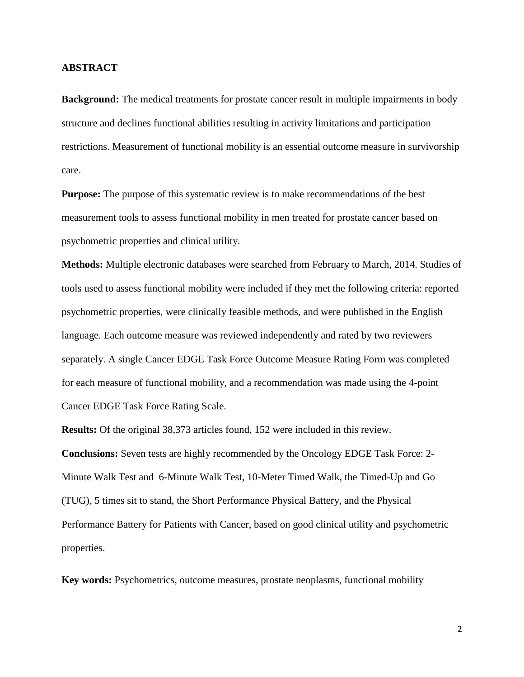#### **ABSTRACT**

**Background:** The medical treatments for prostate cancer result in multiple impairments in body structure and declines functional abilities resulting in activity limitations and participation restrictions. Measurement of functional mobility is an essential outcome measure in survivorship care.

**Purpose:** The purpose of this systematic review is to make recommendations of the best measurement tools to assess functional mobility in men treated for prostate cancer based on psychometric properties and clinical utility.

**Methods:** Multiple electronic databases were searched from February to March, 2014. Studies of tools used to assess functional mobility were included if they met the following criteria: reported psychometric properties, were clinically feasible methods, and were published in the English language. Each outcome measure was reviewed independently and rated by two reviewers separately. A single Cancer EDGE Task Force Outcome Measure Rating Form was completed for each measure of functional mobility, and a recommendation was made using the 4-point Cancer EDGE Task Force Rating Scale.

**Results:** Of the original 38,373 articles found, 152 were included in this review. **Conclusions:** Seven tests are highly recommended by the Oncology EDGE Task Force: 2- Minute Walk Test and 6-Minute Walk Test, 10-Meter Timed Walk, the Timed-Up and Go (TUG), 5 times sit to stand, the Short Performance Physical Battery, and the Physical Performance Battery for Patients with Cancer, based on good clinical utility and psychometric properties.

**Key words:** Psychometrics, outcome measures, prostate neoplasms, functional mobility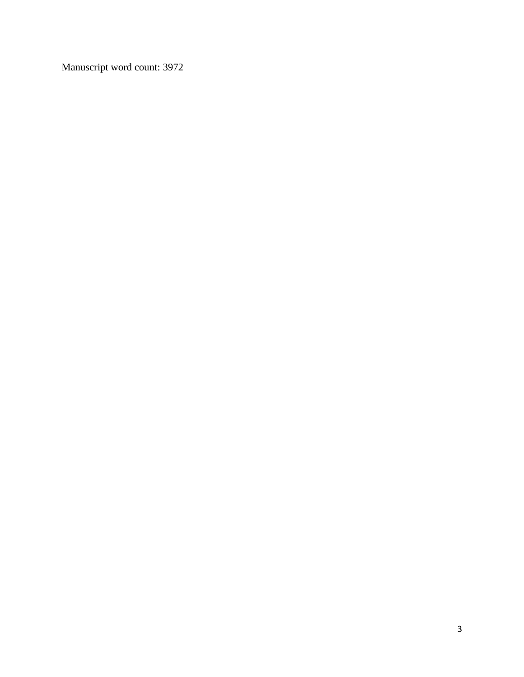Manuscript word count: 3972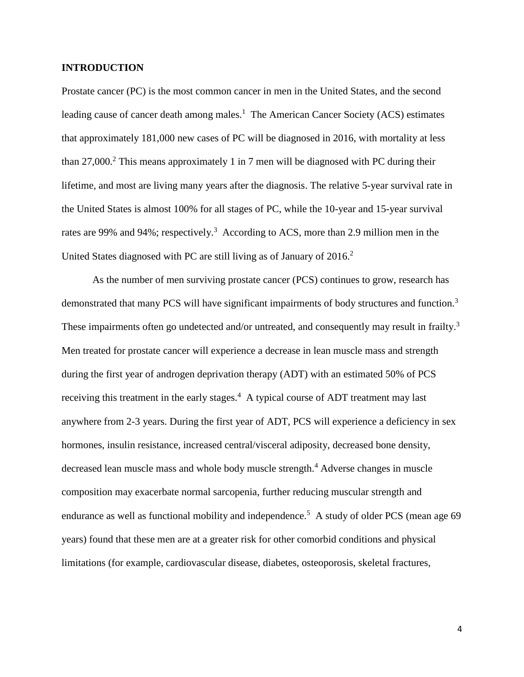#### **INTRODUCTION**

Prostate cancer (PC) is the most common cancer in men in the United States, and the second leading cause of cancer death among males.<sup>1</sup> The American Cancer Society (ACS) estimates that approximately 181,000 new cases of PC will be diagnosed in 2016, with mortality at less than 27,000. <sup>2</sup> This means approximately 1 in 7 men will be diagnosed with PC during their lifetime, and most are living many years after the diagnosis. The relative 5-year survival rate in the United States is almost 100% for all stages of PC, while the 10-year and 15-year survival rates are 99% and 94%; respectively.<sup>3</sup> According to ACS, more than 2.9 million men in the United States diagnosed with PC are still living as of January of 2016.<sup>2</sup>

As the number of men surviving prostate cancer (PCS) continues to grow, research has demonstrated that many PCS will have significant impairments of body structures and function.<sup>3</sup> These impairments often go undetected and/or untreated, and consequently may result in frailty.<sup>3</sup> Men treated for prostate cancer will experience a decrease in lean muscle mass and strength during the first year of androgen deprivation therapy (ADT) with an estimated 50% of PCS receiving this treatment in the early stages.<sup>4</sup> A typical course of ADT treatment may last anywhere from 2-3 years. During the first year of ADT, PCS will experience a deficiency in sex hormones, insulin resistance, increased central/visceral adiposity, decreased bone density, decreased lean muscle mass and whole body muscle strength.<sup>4</sup> Adverse changes in muscle composition may exacerbate normal sarcopenia, further reducing muscular strength and endurance as well as functional mobility and independence.<sup>5</sup> A study of older PCS (mean age 69 years) found that these men are at a greater risk for other comorbid conditions and physical limitations (for example, cardiovascular disease, diabetes, osteoporosis, skeletal fractures,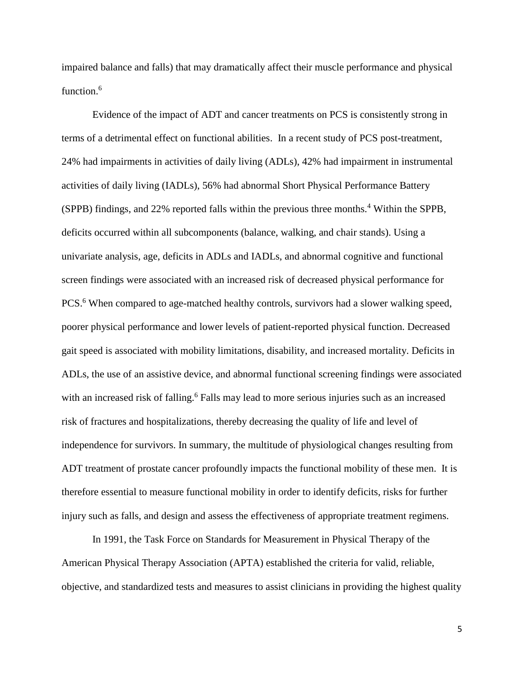impaired balance and falls) that may dramatically affect their muscle performance and physical function.<sup>6</sup>

Evidence of the impact of ADT and cancer treatments on PCS is consistently strong in terms of a detrimental effect on functional abilities. In a recent study of PCS post-treatment, 24% had impairments in activities of daily living (ADLs), 42% had impairment in instrumental activities of daily living (IADLs), 56% had abnormal Short Physical Performance Battery (SPPB) findings, and 22% reported falls within the previous three months.<sup>4</sup> Within the SPPB, deficits occurred within all subcomponents (balance, walking, and chair stands). Using a univariate analysis, age, deficits in ADLs and IADLs, and abnormal cognitive and functional screen findings were associated with an increased risk of decreased physical performance for PCS.<sup>6</sup> When compared to age-matched healthy controls, survivors had a slower walking speed, poorer physical performance and lower levels of patient-reported physical function. Decreased gait speed is associated with mobility limitations, disability, and increased mortality. Deficits in ADLs, the use of an assistive device, and abnormal functional screening findings were associated with an increased risk of falling.<sup>6</sup> Falls may lead to more serious injuries such as an increased risk of fractures and hospitalizations, thereby decreasing the quality of life and level of independence for survivors. In summary, the multitude of physiological changes resulting from ADT treatment of prostate cancer profoundly impacts the functional mobility of these men. It is therefore essential to measure functional mobility in order to identify deficits, risks for further injury such as falls, and design and assess the effectiveness of appropriate treatment regimens.

In 1991, the Task Force on Standards for Measurement in Physical Therapy of the American Physical Therapy Association (APTA) established the criteria for valid, reliable, objective, and standardized tests and measures to assist clinicians in providing the highest quality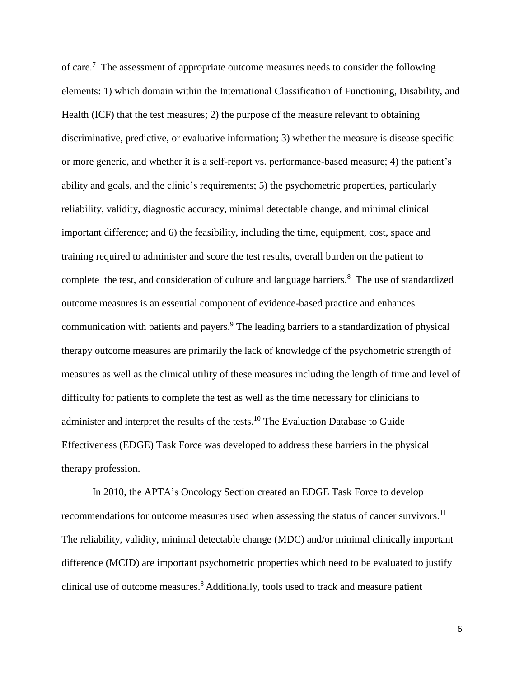of care.<sup>7</sup> The assessment of appropriate outcome measures needs to consider the following elements: 1) which domain within the International Classification of Functioning, Disability, and Health (ICF) that the test measures; 2) the purpose of the measure relevant to obtaining discriminative, predictive, or evaluative information; 3) whether the measure is disease specific or more generic, and whether it is a self-report vs. performance-based measure; 4) the patient's ability and goals, and the clinic's requirements; 5) the psychometric properties, particularly reliability, validity, diagnostic accuracy, minimal detectable change, and minimal clinical important difference; and 6) the feasibility, including the time, equipment, cost, space and training required to administer and score the test results, overall burden on the patient to complete the test, and consideration of culture and language barriers.<sup>8</sup> The use of standardized outcome measures is an essential component of evidence-based practice and enhances communication with patients and payers. <sup>9</sup> The leading barriers to a standardization of physical therapy outcome measures are primarily the lack of knowledge of the psychometric strength of measures as well as the clinical utility of these measures including the length of time and level of difficulty for patients to complete the test as well as the time necessary for clinicians to administer and interpret the results of the tests.<sup>10</sup> The Evaluation Database to Guide Effectiveness (EDGE) Task Force was developed to address these barriers in the physical therapy profession.

In 2010, the APTA's Oncology Section created an EDGE Task Force to develop recommendations for outcome measures used when assessing the status of cancer survivors.<sup>11</sup> The reliability, validity, minimal detectable change (MDC) and/or minimal clinically important difference (MCID) are important psychometric properties which need to be evaluated to justify clinical use of outcome measures.<sup>8</sup> Additionally, tools used to track and measure patient

6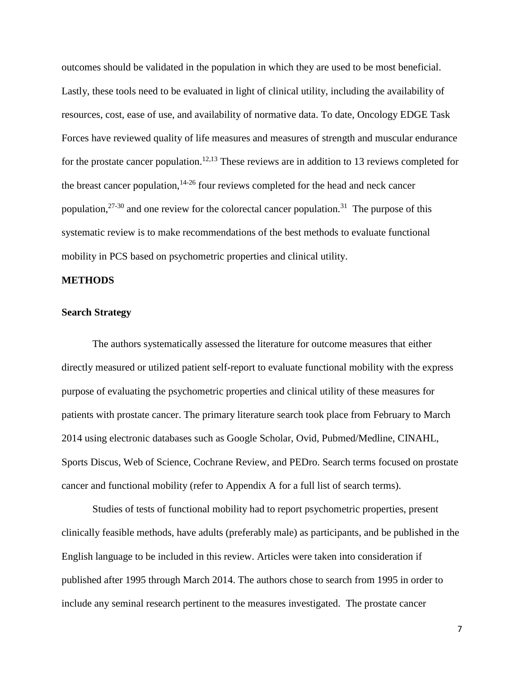outcomes should be validated in the population in which they are used to be most beneficial. Lastly, these tools need to be evaluated in light of clinical utility, including the availability of resources, cost, ease of use, and availability of normative data. To date, Oncology EDGE Task Forces have reviewed quality of life measures and measures of strength and muscular endurance for the prostate cancer population.<sup>12,13</sup> These reviews are in addition to 13 reviews completed for the breast cancer population, $14-26$  four reviews completed for the head and neck cancer population,  $27-30$  and one review for the colorectal cancer population.<sup>31</sup> The purpose of this systematic review is to make recommendations of the best methods to evaluate functional mobility in PCS based on psychometric properties and clinical utility.

#### **METHODS**

#### **Search Strategy**

The authors systematically assessed the literature for outcome measures that either directly measured or utilized patient self-report to evaluate functional mobility with the express purpose of evaluating the psychometric properties and clinical utility of these measures for patients with prostate cancer. The primary literature search took place from February to March 2014 using electronic databases such as Google Scholar, Ovid, Pubmed/Medline, CINAHL, Sports Discus, Web of Science, Cochrane Review, and PEDro. Search terms focused on prostate cancer and functional mobility (refer to Appendix A for a full list of search terms).

Studies of tests of functional mobility had to report psychometric properties, present clinically feasible methods, have adults (preferably male) as participants, and be published in the English language to be included in this review. Articles were taken into consideration if published after 1995 through March 2014. The authors chose to search from 1995 in order to include any seminal research pertinent to the measures investigated. The prostate cancer

7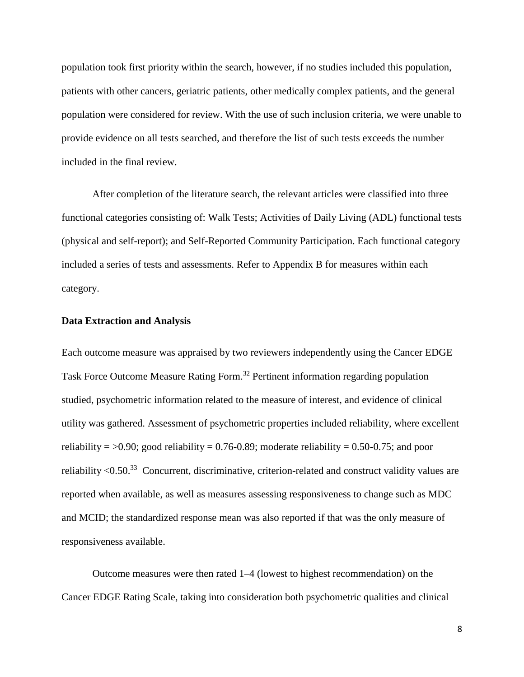population took first priority within the search, however, if no studies included this population, patients with other cancers, geriatric patients, other medically complex patients, and the general population were considered for review. With the use of such inclusion criteria, we were unable to provide evidence on all tests searched, and therefore the list of such tests exceeds the number included in the final review.

After completion of the literature search, the relevant articles were classified into three functional categories consisting of: Walk Tests; Activities of Daily Living (ADL) functional tests (physical and self-report); and Self-Reported Community Participation. Each functional category included a series of tests and assessments. Refer to Appendix B for measures within each category.

#### **Data Extraction and Analysis**

Each outcome measure was appraised by two reviewers independently using the Cancer EDGE Task Force Outcome Measure Rating Form. <sup>32</sup> Pertinent information regarding population studied, psychometric information related to the measure of interest, and evidence of clinical utility was gathered. Assessment of psychometric properties included reliability, where excellent reliability =  $>0.90$ ; good reliability = 0.76-0.89; moderate reliability = 0.50-0.75; and poor reliability  $\langle 0.50 \rangle^{33}$  Concurrent, discriminative, criterion-related and construct validity values are reported when available, as well as measures assessing responsiveness to change such as MDC and MCID; the standardized response mean was also reported if that was the only measure of responsiveness available.

Outcome measures were then rated 1–4 (lowest to highest recommendation) on the Cancer EDGE Rating Scale, taking into consideration both psychometric qualities and clinical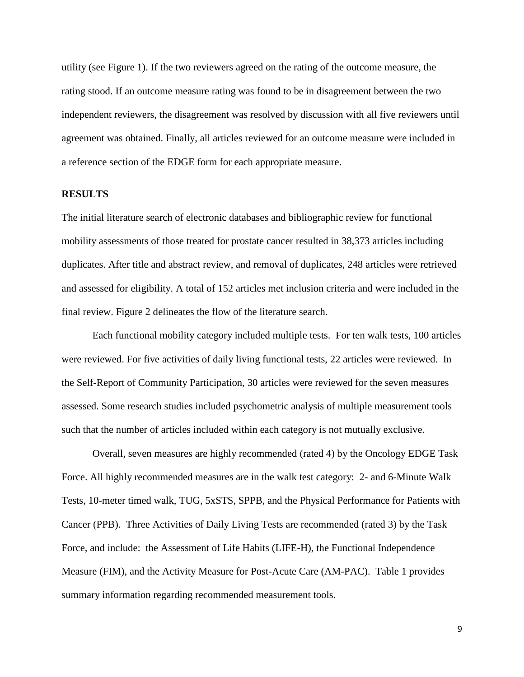utility (see Figure 1). If the two reviewers agreed on the rating of the outcome measure, the rating stood. If an outcome measure rating was found to be in disagreement between the two independent reviewers, the disagreement was resolved by discussion with all five reviewers until agreement was obtained. Finally, all articles reviewed for an outcome measure were included in a reference section of the EDGE form for each appropriate measure.

#### **RESULTS**

The initial literature search of electronic databases and bibliographic review for functional mobility assessments of those treated for prostate cancer resulted in 38,373 articles including duplicates. After title and abstract review, and removal of duplicates, 248 articles were retrieved and assessed for eligibility. A total of 152 articles met inclusion criteria and were included in the final review. Figure 2 delineates the flow of the literature search.

Each functional mobility category included multiple tests. For ten walk tests, 100 articles were reviewed. For five activities of daily living functional tests, 22 articles were reviewed. In the Self-Report of Community Participation, 30 articles were reviewed for the seven measures assessed. Some research studies included psychometric analysis of multiple measurement tools such that the number of articles included within each category is not mutually exclusive.

Overall, seven measures are highly recommended (rated 4) by the Oncology EDGE Task Force. All highly recommended measures are in the walk test category: 2- and 6-Minute Walk Tests, 10-meter timed walk, TUG, 5xSTS, SPPB, and the Physical Performance for Patients with Cancer (PPB). Three Activities of Daily Living Tests are recommended (rated 3) by the Task Force, and include: the Assessment of Life Habits (LIFE-H), the Functional Independence Measure (FIM), and the Activity Measure for Post-Acute Care (AM-PAC). Table 1 provides summary information regarding recommended measurement tools.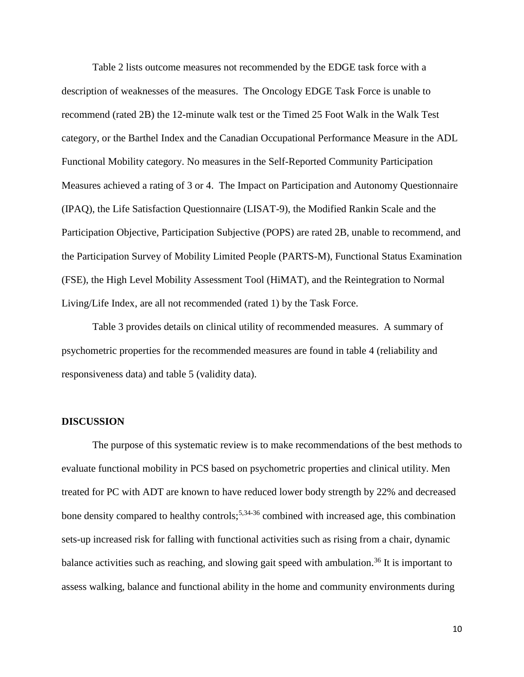Table 2 lists outcome measures not recommended by the EDGE task force with a description of weaknesses of the measures. The Oncology EDGE Task Force is unable to recommend (rated 2B) the 12-minute walk test or the Timed 25 Foot Walk in the Walk Test category, or the Barthel Index and the Canadian Occupational Performance Measure in the ADL Functional Mobility category. No measures in the Self-Reported Community Participation Measures achieved a rating of 3 or 4. The Impact on Participation and Autonomy Questionnaire (IPAQ), the Life Satisfaction Questionnaire (LISAT-9), the Modified Rankin Scale and the Participation Objective, Participation Subjective (POPS) are rated 2B, unable to recommend, and the Participation Survey of Mobility Limited People (PARTS-M), Functional Status Examination (FSE), the High Level Mobility Assessment Tool (HiMAT), and the Reintegration to Normal Living/Life Index, are all not recommended (rated 1) by the Task Force.

Table 3 provides details on clinical utility of recommended measures. A summary of psychometric properties for the recommended measures are found in table 4 (reliability and responsiveness data) and table 5 (validity data).

#### **DISCUSSION**

The purpose of this systematic review is to make recommendations of the best methods to evaluate functional mobility in PCS based on psychometric properties and clinical utility. Men treated for PC with ADT are known to have reduced lower body strength by 22% and decreased bone density compared to healthy controls;<sup>5,34-36</sup> combined with increased age, this combination sets-up increased risk for falling with functional activities such as rising from a chair, dynamic balance activities such as reaching, and slowing gait speed with ambulation.<sup>36</sup> It is important to assess walking, balance and functional ability in the home and community environments during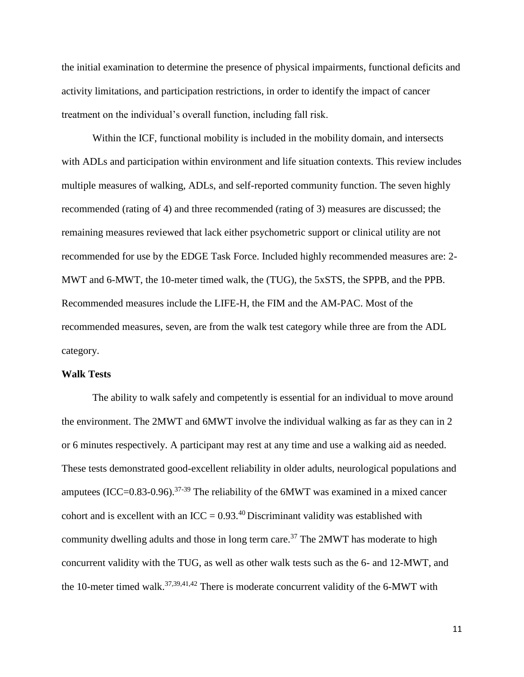the initial examination to determine the presence of physical impairments, functional deficits and activity limitations, and participation restrictions, in order to identify the impact of cancer treatment on the individual's overall function, including fall risk.

Within the ICF, functional mobility is included in the mobility domain, and intersects with ADLs and participation within environment and life situation contexts. This review includes multiple measures of walking, ADLs, and self-reported community function. The seven highly recommended (rating of 4) and three recommended (rating of 3) measures are discussed; the remaining measures reviewed that lack either psychometric support or clinical utility are not recommended for use by the EDGE Task Force. Included highly recommended measures are: 2- MWT and 6-MWT, the 10-meter timed walk, the (TUG), the 5xSTS, the SPPB, and the PPB. Recommended measures include the LIFE-H, the FIM and the AM-PAC. Most of the recommended measures, seven, are from the walk test category while three are from the ADL category.

#### **Walk Tests**

The ability to walk safely and competently is essential for an individual to move around the environment. The 2MWT and 6MWT involve the individual walking as far as they can in 2 or 6 minutes respectively. A participant may rest at any time and use a walking aid as needed. These tests demonstrated good-excellent reliability in older adults, neurological populations and amputees (ICC=0.83-0.96).<sup>37-39</sup> The reliability of the 6MWT was examined in a mixed cancer cohort and is excellent with an ICC =  $0.93^{40}$  Discriminant validity was established with community dwelling adults and those in long term care.<sup>37</sup> The 2MWT has moderate to high concurrent validity with the TUG, as well as other walk tests such as the 6- and 12-MWT, and the 10-meter timed walk.<sup>37,39,41,42</sup> There is moderate concurrent validity of the 6-MWT with

11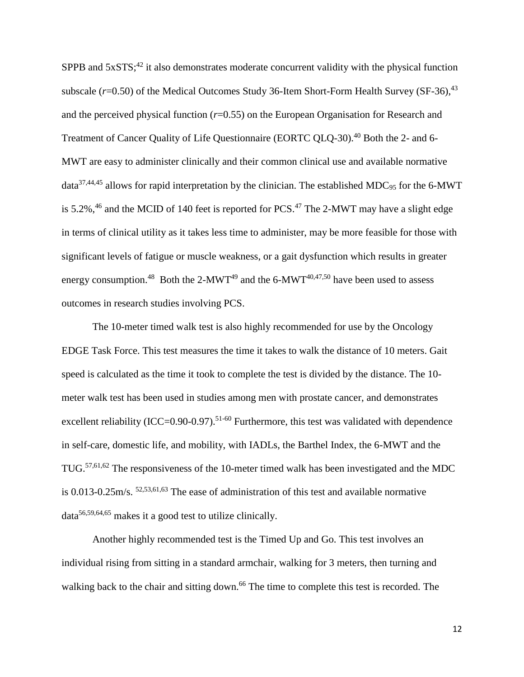SPPB and  $5xSTS$ ;<sup>42</sup> it also demonstrates moderate concurrent validity with the physical function subscale  $(r=0.50)$  of the Medical Outcomes Study 36-Item Short-Form Health Survey (SF-36),  $43$ and the perceived physical function (*r*=0.55) on the European Organisation for Research and Treatment of Cancer Quality of Life Questionnaire (EORTC QLQ-30).<sup>40</sup> Both the 2- and 6-MWT are easy to administer clinically and their common clinical use and available normative  $data^{37,44,45}$  allows for rapid interpretation by the clinician. The established MDC<sub>95</sub> for the 6-MWT is 5.2%, $46$  and the MCID of 140 feet is reported for PCS. $47$  The 2-MWT may have a slight edge in terms of clinical utility as it takes less time to administer, may be more feasible for those with significant levels of fatigue or muscle weakness, or a gait dysfunction which results in greater energy consumption.<sup>48</sup> Both the 2-MWT<sup>49</sup> and the 6-MWT<sup>40,47,50</sup> have been used to assess outcomes in research studies involving PCS.

The 10-meter timed walk test is also highly recommended for use by the Oncology EDGE Task Force. This test measures the time it takes to walk the distance of 10 meters. Gait speed is calculated as the time it took to complete the test is divided by the distance. The 10 meter walk test has been used in studies among men with prostate cancer, and demonstrates excellent reliability (ICC=0.90-0.97).<sup>51-60</sup> Furthermore, this test was validated with dependence in self-care, domestic life, and mobility, with IADLs, the Barthel Index, the 6-MWT and the TUG.57,61,62 The responsiveness of the 10-meter timed walk has been investigated and the MDC is 0.013-0.25m/s. 52,53,61,63 The ease of administration of this test and available normative data56,59,64,65 makes it a good test to utilize clinically.

Another highly recommended test is the Timed Up and Go. This test involves an individual rising from sitting in a standard armchair, walking for 3 meters, then turning and walking back to the chair and sitting down.<sup>66</sup> The time to complete this test is recorded. The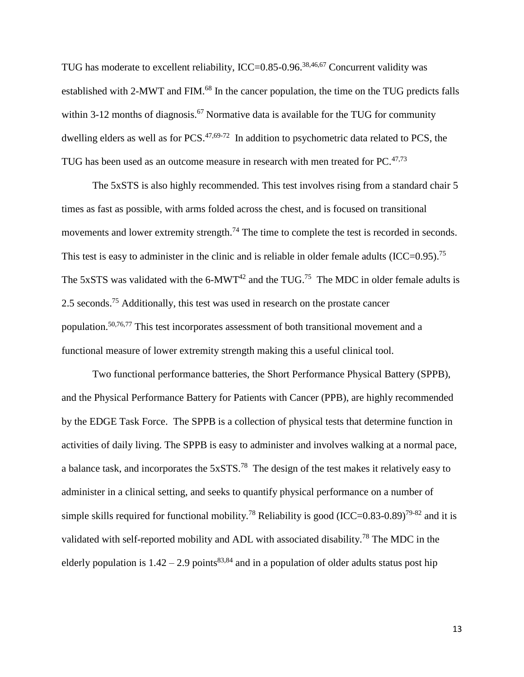TUG has moderate to excellent reliability, ICC=0.85-0.96.<sup>38,46,67</sup> Concurrent validity was established with 2-MWT and FIM.<sup>68</sup> In the cancer population, the time on the TUG predicts falls within 3-12 months of diagnosis.<sup>67</sup> Normative data is available for the TUG for community dwelling elders as well as for PCS.<sup>47,69-72</sup> In addition to psychometric data related to PCS, the TUG has been used as an outcome measure in research with men treated for  $PC^{47,73}$ .

The 5xSTS is also highly recommended. This test involves rising from a standard chair 5 times as fast as possible, with arms folded across the chest, and is focused on transitional movements and lower extremity strength.<sup>74</sup> The time to complete the test is recorded in seconds. This test is easy to administer in the clinic and is reliable in older female adults  $(ICC=0.95)$ .<sup>75</sup> The 5xSTS was validated with the 6-MWT<sup>42</sup> and the TUG.<sup>75</sup> The MDC in older female adults is 2.5 seconds.<sup>75</sup> Additionally, this test was used in research on the prostate cancer population.<sup>50,76,77</sup> This test incorporates assessment of both transitional movement and a functional measure of lower extremity strength making this a useful clinical tool.

Two functional performance batteries, the Short Performance Physical Battery (SPPB), and the Physical Performance Battery for Patients with Cancer (PPB), are highly recommended by the EDGE Task Force. The SPPB is a collection of physical tests that determine function in activities of daily living. The SPPB is easy to administer and involves walking at a normal pace, a balance task, and incorporates the  $5xSTS$ .<sup>78</sup> The design of the test makes it relatively easy to administer in a clinical setting, and seeks to quantify physical performance on a number of simple skills required for functional mobility.<sup>78</sup> Reliability is good (ICC=0.83-0.89)<sup>79-82</sup> and it is validated with self-reported mobility and ADL with associated disability.<sup>78</sup> The MDC in the elderly population is  $1.42 - 2.9$  points<sup>83,84</sup> and in a population of older adults status post hip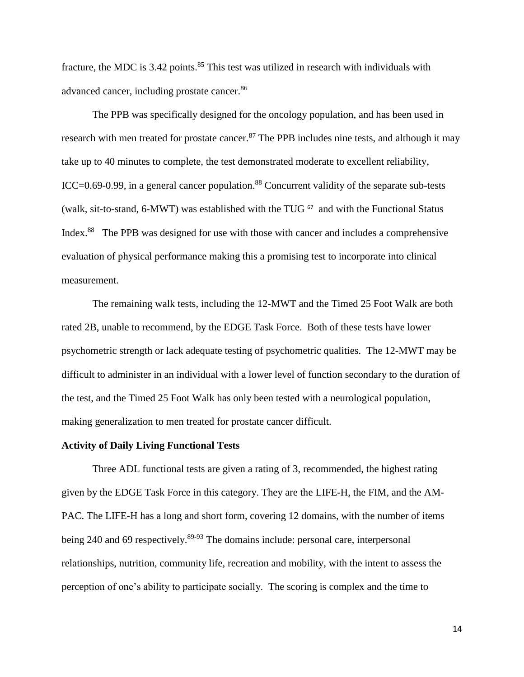fracture, the MDC is  $3.42$  points.<sup>85</sup> This test was utilized in research with individuals with advanced cancer, including prostate cancer.<sup>86</sup>

The PPB was specifically designed for the oncology population, and has been used in research with men treated for prostate cancer.<sup>87</sup> The PPB includes nine tests, and although it may take up to 40 minutes to complete, the test demonstrated moderate to excellent reliability, ICC $=0.69-0.99$ , in a general cancer population.<sup>88</sup> Concurrent validity of the separate sub-tests (walk, sit-to-stand, 6-MWT) was established with the TUG<sup> $67$ </sup> and with the Functional Status Index.<sup>88</sup> The PPB was designed for use with those with cancer and includes a comprehensive evaluation of physical performance making this a promising test to incorporate into clinical measurement.

The remaining walk tests, including the 12-MWT and the Timed 25 Foot Walk are both rated 2B, unable to recommend, by the EDGE Task Force. Both of these tests have lower psychometric strength or lack adequate testing of psychometric qualities. The 12-MWT may be difficult to administer in an individual with a lower level of function secondary to the duration of the test, and the Timed 25 Foot Walk has only been tested with a neurological population, making generalization to men treated for prostate cancer difficult.

#### **Activity of Daily Living Functional Tests**

Three ADL functional tests are given a rating of 3, recommended, the highest rating given by the EDGE Task Force in this category. They are the LIFE-H, the FIM, and the AM-PAC. The LIFE-H has a long and short form, covering 12 domains, with the number of items being 240 and 69 respectively.<sup>89-93</sup> The domains include: personal care, interpersonal relationships, nutrition, community life, recreation and mobility, with the intent to assess the perception of one's ability to participate socially. The scoring is complex and the time to

14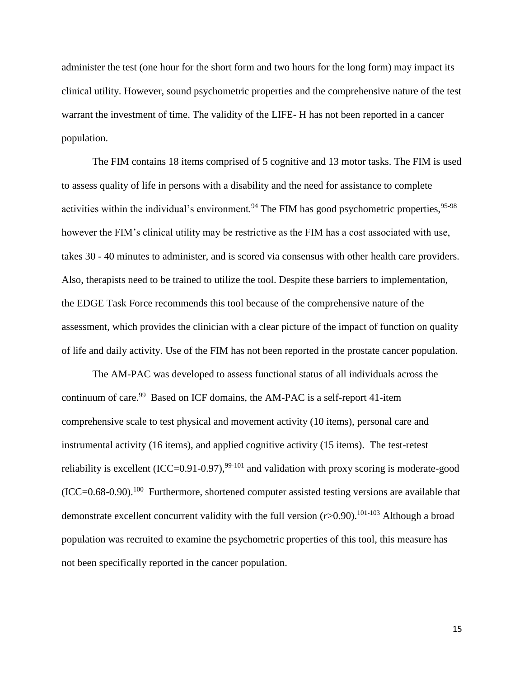administer the test (one hour for the short form and two hours for the long form) may impact its clinical utility. However, sound psychometric properties and the comprehensive nature of the test warrant the investment of time. The validity of the LIFE- H has not been reported in a cancer population.

The FIM contains 18 items comprised of 5 cognitive and 13 motor tasks. The FIM is used to assess quality of life in persons with a disability and the need for assistance to complete activities within the individual's environment.<sup>94</sup> The FIM has good psychometric properties,  $95-98$ however the FIM's clinical utility may be restrictive as the FIM has a cost associated with use, takes 30 - 40 minutes to administer, and is scored via consensus with other health care providers. Also, therapists need to be trained to utilize the tool. Despite these barriers to implementation, the EDGE Task Force recommends this tool because of the comprehensive nature of the assessment, which provides the clinician with a clear picture of the impact of function on quality of life and daily activity. Use of the FIM has not been reported in the prostate cancer population.

The AM-PAC was developed to assess functional status of all individuals across the continuum of care.<sup>99</sup> Based on ICF domains, the AM-PAC is a self-report 41-item comprehensive scale to test physical and movement activity (10 items), personal care and instrumental activity (16 items), and applied cognitive activity (15 items). The test-retest reliability is excellent  $(ICC=0.91-0.97)$ ,  $99-101$  and validation with proxy scoring is moderate-good  $(ICC=0.68-0.90).$ <sup>100</sup> Furthermore, shortened computer assisted testing versions are available that demonstrate excellent concurrent validity with the full version  $(r>0.90)$ .<sup>101-103</sup> Although a broad population was recruited to examine the psychometric properties of this tool, this measure has not been specifically reported in the cancer population.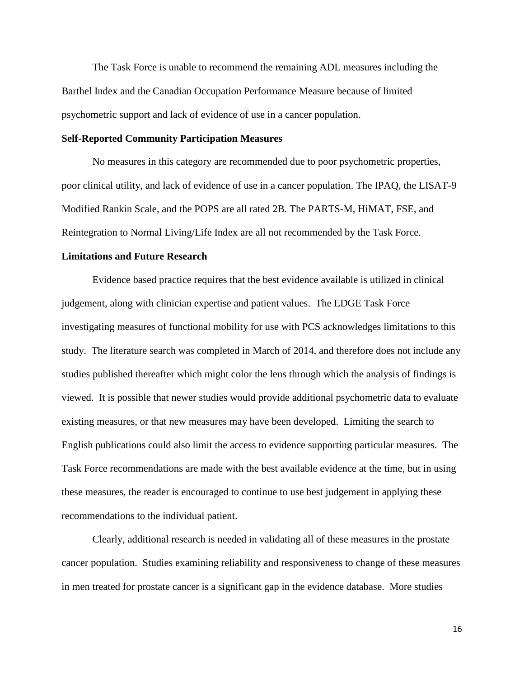The Task Force is unable to recommend the remaining ADL measures including the Barthel Index and the Canadian Occupation Performance Measure because of limited psychometric support and lack of evidence of use in a cancer population.

#### **Self-Reported Community Participation Measures**

No measures in this category are recommended due to poor psychometric properties, poor clinical utility, and lack of evidence of use in a cancer population. The IPAQ, the LISAT-9 Modified Rankin Scale, and the POPS are all rated 2B. The PARTS-M, HiMAT, FSE, and Reintegration to Normal Living/Life Index are all not recommended by the Task Force.

#### **Limitations and Future Research**

Evidence based practice requires that the best evidence available is utilized in clinical judgement, along with clinician expertise and patient values. The EDGE Task Force investigating measures of functional mobility for use with PCS acknowledges limitations to this study. The literature search was completed in March of 2014, and therefore does not include any studies published thereafter which might color the lens through which the analysis of findings is viewed. It is possible that newer studies would provide additional psychometric data to evaluate existing measures, or that new measures may have been developed. Limiting the search to English publications could also limit the access to evidence supporting particular measures. The Task Force recommendations are made with the best available evidence at the time, but in using these measures, the reader is encouraged to continue to use best judgement in applying these recommendations to the individual patient.

Clearly, additional research is needed in validating all of these measures in the prostate cancer population. Studies examining reliability and responsiveness to change of these measures in men treated for prostate cancer is a significant gap in the evidence database. More studies

16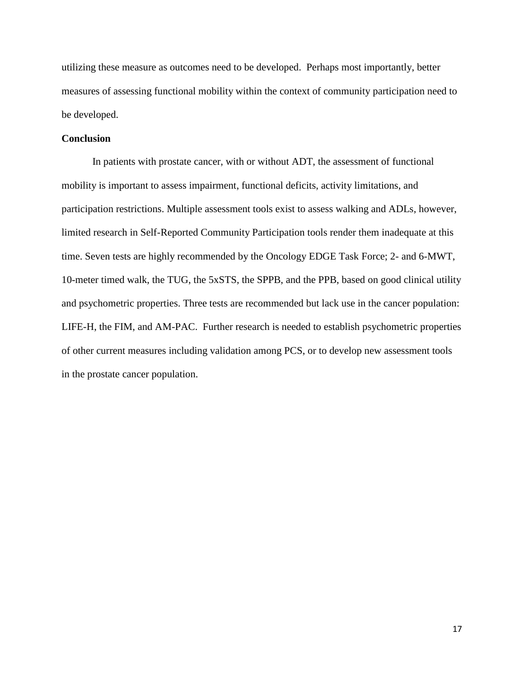utilizing these measure as outcomes need to be developed. Perhaps most importantly, better measures of assessing functional mobility within the context of community participation need to be developed.

## **Conclusion**

In patients with prostate cancer, with or without ADT, the assessment of functional mobility is important to assess impairment, functional deficits, activity limitations, and participation restrictions. Multiple assessment tools exist to assess walking and ADLs, however, limited research in Self-Reported Community Participation tools render them inadequate at this time. Seven tests are highly recommended by the Oncology EDGE Task Force; 2- and 6-MWT, 10-meter timed walk, the TUG, the 5xSTS, the SPPB, and the PPB, based on good clinical utility and psychometric properties. Three tests are recommended but lack use in the cancer population: LIFE-H, the FIM, and AM-PAC. Further research is needed to establish psychometric properties of other current measures including validation among PCS, or to develop new assessment tools in the prostate cancer population.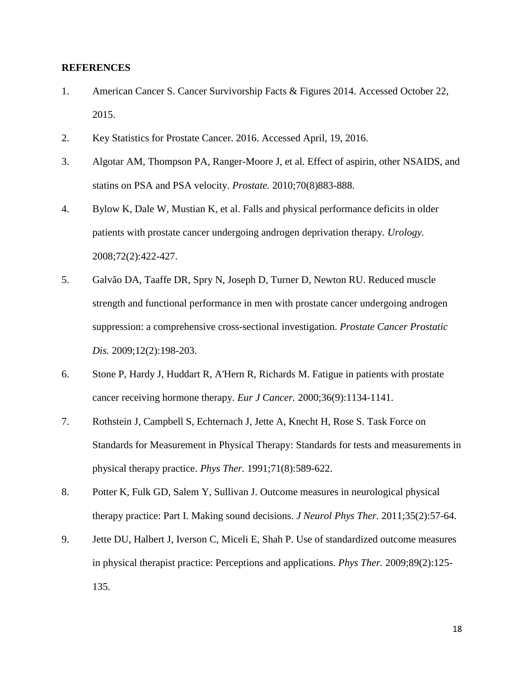## **REFERENCES**

- 1. American Cancer S. Cancer Survivorship Facts & Figures 2014. Accessed October 22, 2015.
- 2. Key Statistics for Prostate Cancer. 2016. Accessed April, 19, 2016.
- 3. Algotar AM, Thompson PA, Ranger-Moore J, et al. Effect of aspirin, other NSAIDS, and statins on PSA and PSA velocity. *Prostate.* 2010;70(8)883-888.
- 4. Bylow K, Dale W, Mustian K, et al. Falls and physical performance deficits in older patients with prostate cancer undergoing androgen deprivation therapy. *Urology.*  2008;72(2):422-427.
- 5. Galvão DA, Taaffe DR, Spry N, Joseph D, Turner D, Newton RU. Reduced muscle strength and functional performance in men with prostate cancer undergoing androgen suppression: a comprehensive cross-sectional investigation. *Prostate Cancer Prostatic Dis.* 2009;12(2):198-203.
- 6. Stone P, Hardy J, Huddart R, A'Hern R, Richards M. Fatigue in patients with prostate cancer receiving hormone therapy. *Eur J Cancer.* 2000;36(9):1134-1141.
- 7. Rothstein J, Campbell S, Echternach J, Jette A, Knecht H, Rose S. Task Force on Standards for Measurement in Physical Therapy: Standards for tests and measurements in physical therapy practice. *Phys Ther.* 1991;71(8):589-622.
- 8. Potter K, Fulk GD, Salem Y, Sullivan J. Outcome measures in neurological physical therapy practice: Part I. Making sound decisions. *J Neurol Phys Ther.* 2011;35(2):57-64.
- 9. Jette DU, Halbert J, Iverson C, Miceli E, Shah P. Use of standardized outcome measures in physical therapist practice: Perceptions and applications. *Phys Ther.* 2009;89(2):125- 135.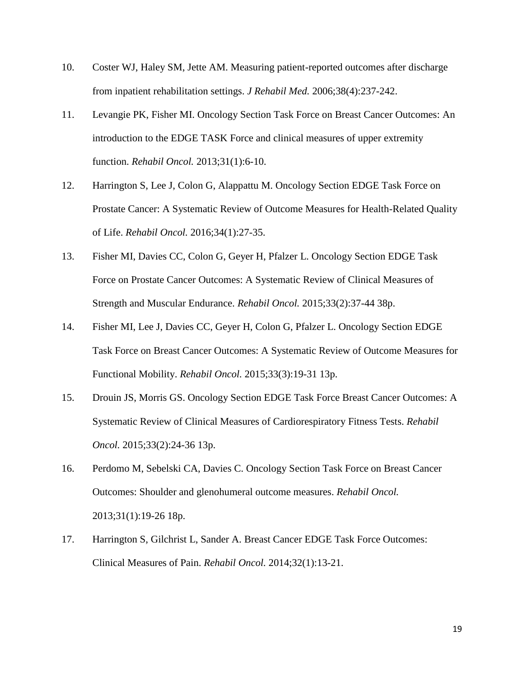- 10. Coster WJ, Haley SM, Jette AM. Measuring patient-reported outcomes after discharge from inpatient rehabilitation settings. *J Rehabil Med.* 2006;38(4):237-242.
- 11. Levangie PK, Fisher MI. Oncology Section Task Force on Breast Cancer Outcomes: An introduction to the EDGE TASK Force and clinical measures of upper extremity function. *Rehabil Oncol.* 2013;31(1):6-10.
- 12. Harrington S, Lee J, Colon G, Alappattu M. Oncology Section EDGE Task Force on Prostate Cancer: A Systematic Review of Outcome Measures for Health-Related Quality of Life. *Rehabil Oncol.* 2016;34(1):27-35.
- 13. Fisher MI, Davies CC, Colon G, Geyer H, Pfalzer L. Oncology Section EDGE Task Force on Prostate Cancer Outcomes: A Systematic Review of Clinical Measures of Strength and Muscular Endurance. *Rehabil Oncol.* 2015;33(2):37-44 38p.
- 14. Fisher MI, Lee J, Davies CC, Geyer H, Colon G, Pfalzer L. Oncology Section EDGE Task Force on Breast Cancer Outcomes: A Systematic Review of Outcome Measures for Functional Mobility. *Rehabil Oncol.* 2015;33(3):19-31 13p.
- 15. Drouin JS, Morris GS. Oncology Section EDGE Task Force Breast Cancer Outcomes: A Systematic Review of Clinical Measures of Cardiorespiratory Fitness Tests. *Rehabil Oncol.* 2015;33(2):24-36 13p.
- 16. Perdomo M, Sebelski CA, Davies C. Oncology Section Task Force on Breast Cancer Outcomes: Shoulder and glenohumeral outcome measures. *Rehabil Oncol.*  2013;31(1):19-26 18p.
- 17. Harrington S, Gilchrist L, Sander A. Breast Cancer EDGE Task Force Outcomes: Clinical Measures of Pain. *Rehabil Oncol.* 2014;32(1):13-21.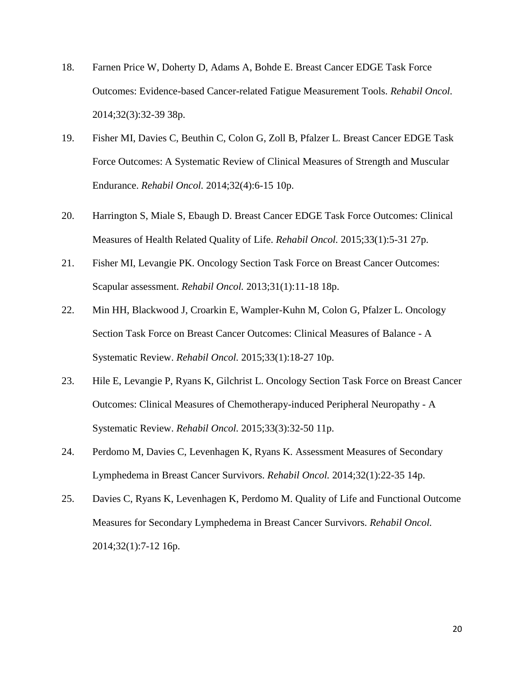- 18. Farnen Price W, Doherty D, Adams A, Bohde E. Breast Cancer EDGE Task Force Outcomes: Evidence-based Cancer-related Fatigue Measurement Tools. *Rehabil Oncol.*  2014;32(3):32-39 38p.
- 19. Fisher MI, Davies C, Beuthin C, Colon G, Zoll B, Pfalzer L. Breast Cancer EDGE Task Force Outcomes: A Systematic Review of Clinical Measures of Strength and Muscular Endurance. *Rehabil Oncol.* 2014;32(4):6-15 10p.
- 20. Harrington S, Miale S, Ebaugh D. Breast Cancer EDGE Task Force Outcomes: Clinical Measures of Health Related Quality of Life. *Rehabil Oncol.* 2015;33(1):5-31 27p.
- 21. Fisher MI, Levangie PK. Oncology Section Task Force on Breast Cancer Outcomes: Scapular assessment. *Rehabil Oncol.* 2013;31(1):11-18 18p.
- 22. Min HH, Blackwood J, Croarkin E, Wampler-Kuhn M, Colon G, Pfalzer L. Oncology Section Task Force on Breast Cancer Outcomes: Clinical Measures of Balance - A Systematic Review. *Rehabil Oncol.* 2015;33(1):18-27 10p.
- 23. Hile E, Levangie P, Ryans K, Gilchrist L. Oncology Section Task Force on Breast Cancer Outcomes: Clinical Measures of Chemotherapy-induced Peripheral Neuropathy - A Systematic Review. *Rehabil Oncol.* 2015;33(3):32-50 11p.
- 24. Perdomo M, Davies C, Levenhagen K, Ryans K. Assessment Measures of Secondary Lymphedema in Breast Cancer Survivors. *Rehabil Oncol.* 2014;32(1):22-35 14p.
- 25. Davies C, Ryans K, Levenhagen K, Perdomo M. Quality of Life and Functional Outcome Measures for Secondary Lymphedema in Breast Cancer Survivors. *Rehabil Oncol.*  2014;32(1):7-12 16p.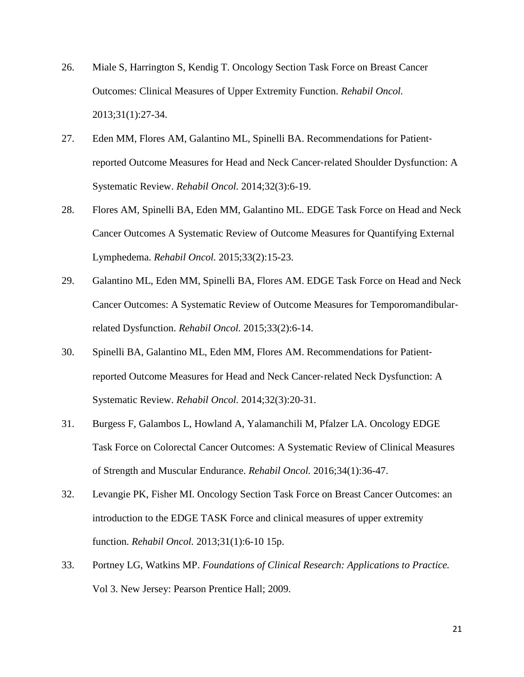- 26. Miale S, Harrington S, Kendig T. Oncology Section Task Force on Breast Cancer Outcomes: Clinical Measures of Upper Extremity Function. *Rehabil Oncol.*  2013;31(1):27-34.
- 27. Eden MM, Flores AM, Galantino ML, Spinelli BA. Recommendations for Patient‐ reported Outcome Measures for Head and Neck Cancer‐related Shoulder Dysfunction: A Systematic Review. *Rehabil Oncol.* 2014;32(3):6-19.
- 28. Flores AM, Spinelli BA, Eden MM, Galantino ML. EDGE Task Force on Head and Neck Cancer Outcomes A Systematic Review of Outcome Measures for Quantifying External Lymphedema. *Rehabil Oncol.* 2015;33(2):15-23.
- 29. Galantino ML, Eden MM, Spinelli BA, Flores AM. EDGE Task Force on Head and Neck Cancer Outcomes: A Systematic Review of Outcome Measures for Temporomandibular‐ related Dysfunction. *Rehabil Oncol.* 2015;33(2):6-14.
- 30. Spinelli BA, Galantino ML, Eden MM, Flores AM. Recommendations for Patient‐ reported Outcome Measures for Head and Neck Cancer‐related Neck Dysfunction: A Systematic Review. *Rehabil Oncol.* 2014;32(3):20-31.
- 31. Burgess F, Galambos L, Howland A, Yalamanchili M, Pfalzer LA. Oncology EDGE Task Force on Colorectal Cancer Outcomes: A Systematic Review of Clinical Measures of Strength and Muscular Endurance. *Rehabil Oncol.* 2016;34(1):36-47.
- 32. Levangie PK, Fisher MI. Oncology Section Task Force on Breast Cancer Outcomes: an introduction to the EDGE TASK Force and clinical measures of upper extremity function. *Rehabil Oncol.* 2013;31(1):6-10 15p.
- 33. Portney LG, Watkins MP. *Foundations of Clinical Research: Applications to Practice.* Vol 3. New Jersey: Pearson Prentice Hall; 2009.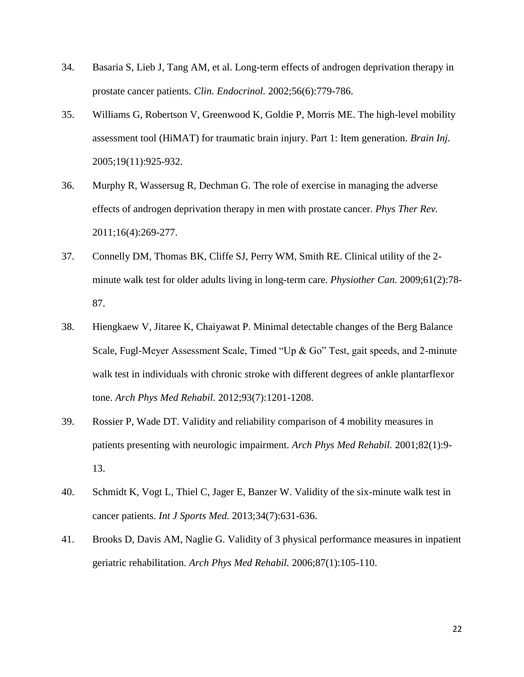- 34. Basaria S, Lieb J, Tang AM, et al. Long-term effects of androgen deprivation therapy in prostate cancer patients. *Clin. Endocrinol.* 2002;56(6):779-786.
- 35. Williams G, Robertson V, Greenwood K, Goldie P, Morris ME. The high-level mobility assessment tool (HiMAT) for traumatic brain injury. Part 1: Item generation. *Brain Inj.*  2005;19(11):925-932.
- 36. Murphy R, Wassersug R, Dechman G. The role of exercise in managing the adverse effects of androgen deprivation therapy in men with prostate cancer. *Phys Ther Rev.*  2011;16(4):269-277.
- 37. Connelly DM, Thomas BK, Cliffe SJ, Perry WM, Smith RE. Clinical utility of the 2 minute walk test for older adults living in long-term care. *Physiother Can.* 2009;61(2):78- 87.
- 38. Hiengkaew V, Jitaree K, Chaiyawat P. Minimal detectable changes of the Berg Balance Scale, Fugl-Meyer Assessment Scale, Timed "Up & Go" Test, gait speeds, and 2-minute walk test in individuals with chronic stroke with different degrees of ankle plantarflexor tone. *Arch Phys Med Rehabil.* 2012;93(7):1201-1208.
- 39. Rossier P, Wade DT. Validity and reliability comparison of 4 mobility measures in patients presenting with neurologic impairment. *Arch Phys Med Rehabil.* 2001;82(1):9- 13.
- 40. Schmidt K, Vogt L, Thiel C, Jager E, Banzer W. Validity of the six-minute walk test in cancer patients. *Int J Sports Med.* 2013;34(7):631-636.
- 41. Brooks D, Davis AM, Naglie G. Validity of 3 physical performance measures in inpatient geriatric rehabilitation. *Arch Phys Med Rehabil.* 2006;87(1):105-110.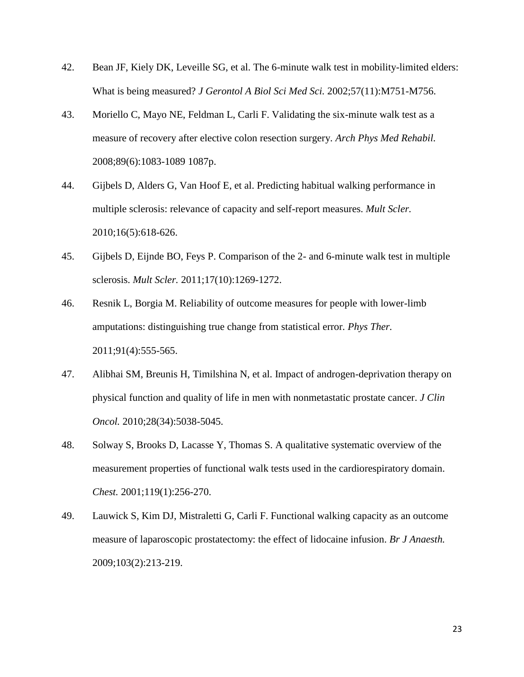- 42. Bean JF, Kiely DK, Leveille SG, et al. The 6-minute walk test in mobility-limited elders: What is being measured? *J Gerontol A Biol Sci Med Sci.* 2002;57(11):M751-M756.
- 43. Moriello C, Mayo NE, Feldman L, Carli F. Validating the six-minute walk test as a measure of recovery after elective colon resection surgery. *Arch Phys Med Rehabil.*  2008;89(6):1083-1089 1087p.
- 44. Gijbels D, Alders G, Van Hoof E, et al. Predicting habitual walking performance in multiple sclerosis: relevance of capacity and self-report measures. *Mult Scler.*  2010;16(5):618-626.
- 45. Gijbels D, Eijnde BO, Feys P. Comparison of the 2- and 6-minute walk test in multiple sclerosis. *Mult Scler.* 2011;17(10):1269-1272.
- 46. Resnik L, Borgia M. Reliability of outcome measures for people with lower-limb amputations: distinguishing true change from statistical error. *Phys Ther.*  2011;91(4):555-565.
- 47. Alibhai SM, Breunis H, Timilshina N, et al. Impact of androgen-deprivation therapy on physical function and quality of life in men with nonmetastatic prostate cancer. *J Clin Oncol.* 2010;28(34):5038-5045.
- 48. Solway S, Brooks D, Lacasse Y, Thomas S. A qualitative systematic overview of the measurement properties of functional walk tests used in the cardiorespiratory domain. *Chest.* 2001;119(1):256-270.
- 49. Lauwick S, Kim DJ, Mistraletti G, Carli F. Functional walking capacity as an outcome measure of laparoscopic prostatectomy: the effect of lidocaine infusion. *Br J Anaesth.*  2009;103(2):213-219.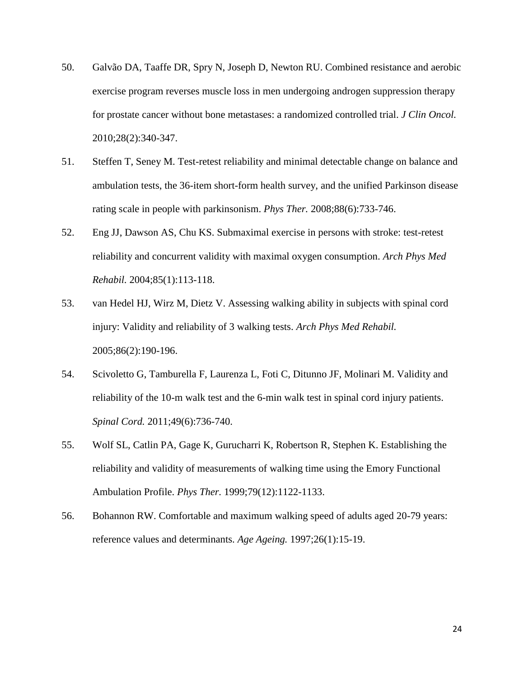- 50. Galvão DA, Taaffe DR, Spry N, Joseph D, Newton RU. Combined resistance and aerobic exercise program reverses muscle loss in men undergoing androgen suppression therapy for prostate cancer without bone metastases: a randomized controlled trial. *J Clin Oncol.*  2010;28(2):340-347.
- 51. Steffen T, Seney M. Test-retest reliability and minimal detectable change on balance and ambulation tests, the 36-item short-form health survey, and the unified Parkinson disease rating scale in people with parkinsonism. *Phys Ther.* 2008;88(6):733-746.
- 52. Eng JJ, Dawson AS, Chu KS. Submaximal exercise in persons with stroke: test-retest reliability and concurrent validity with maximal oxygen consumption. *Arch Phys Med Rehabil.* 2004;85(1):113-118.
- 53. van Hedel HJ, Wirz M, Dietz V. Assessing walking ability in subjects with spinal cord injury: Validity and reliability of 3 walking tests. *Arch Phys Med Rehabil.*  2005;86(2):190-196.
- 54. Scivoletto G, Tamburella F, Laurenza L, Foti C, Ditunno JF, Molinari M. Validity and reliability of the 10-m walk test and the 6-min walk test in spinal cord injury patients. *Spinal Cord.* 2011;49(6):736-740.
- 55. Wolf SL, Catlin PA, Gage K, Gurucharri K, Robertson R, Stephen K. Establishing the reliability and validity of measurements of walking time using the Emory Functional Ambulation Profile. *Phys Ther.* 1999;79(12):1122-1133.
- 56. Bohannon RW. Comfortable and maximum walking speed of adults aged 20-79 years: reference values and determinants. *Age Ageing.* 1997;26(1):15-19.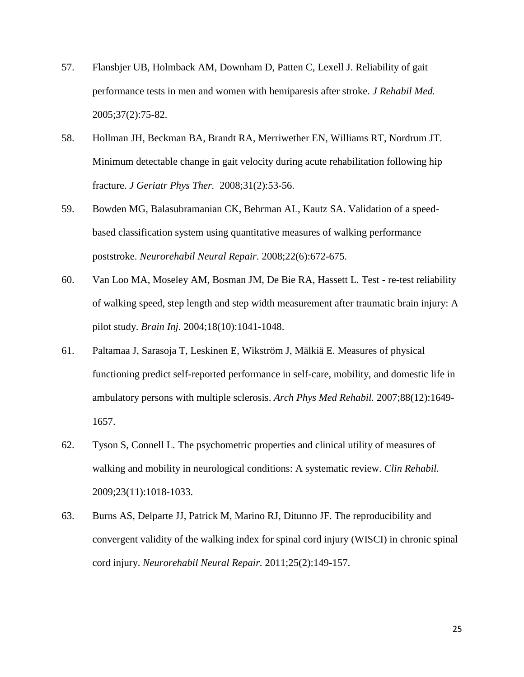- 57. Flansbjer UB, Holmback AM, Downham D, Patten C, Lexell J. Reliability of gait performance tests in men and women with hemiparesis after stroke. *J Rehabil Med.*  2005;37(2):75-82.
- 58. Hollman JH, Beckman BA, Brandt RA, Merriwether EN, Williams RT, Nordrum JT. Minimum detectable change in gait velocity during acute rehabilitation following hip fracture. *J Geriatr Phys Ther.* 2008;31(2):53-56.
- 59. Bowden MG, Balasubramanian CK, Behrman AL, Kautz SA. Validation of a speedbased classification system using quantitative measures of walking performance poststroke. *Neurorehabil Neural Repair.* 2008;22(6):672-675.
- 60. Van Loo MA, Moseley AM, Bosman JM, De Bie RA, Hassett L. Test re-test reliability of walking speed, step length and step width measurement after traumatic brain injury: A pilot study. *Brain Inj.* 2004;18(10):1041-1048.
- 61. Paltamaa J, Sarasoja T, Leskinen E, Wikström J, Mälkiä E. Measures of physical functioning predict self-reported performance in self-care, mobility, and domestic life in ambulatory persons with multiple sclerosis. *Arch Phys Med Rehabil.* 2007;88(12):1649- 1657.
- 62. Tyson S, Connell L. The psychometric properties and clinical utility of measures of walking and mobility in neurological conditions: A systematic review. *Clin Rehabil.*  2009;23(11):1018-1033.
- 63. Burns AS, Delparte JJ, Patrick M, Marino RJ, Ditunno JF. The reproducibility and convergent validity of the walking index for spinal cord injury (WISCI) in chronic spinal cord injury. *Neurorehabil Neural Repair.* 2011;25(2):149-157.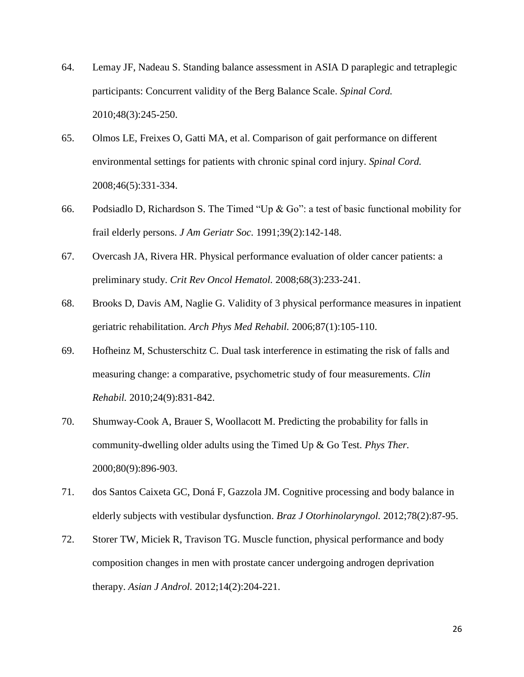- 64. Lemay JF, Nadeau S. Standing balance assessment in ASIA D paraplegic and tetraplegic participants: Concurrent validity of the Berg Balance Scale. *Spinal Cord.*  2010;48(3):245-250.
- 65. Olmos LE, Freixes O, Gatti MA, et al. Comparison of gait performance on different environmental settings for patients with chronic spinal cord injury. *Spinal Cord.*  2008;46(5):331-334.
- 66. Podsiadlo D, Richardson S. The Timed "Up & Go": a test of basic functional mobility for frail elderly persons. *J Am Geriatr Soc.* 1991;39(2):142-148.
- 67. Overcash JA, Rivera HR. Physical performance evaluation of older cancer patients: a preliminary study. *Crit Rev Oncol Hematol.* 2008;68(3):233-241.
- 68. Brooks D, Davis AM, Naglie G. Validity of 3 physical performance measures in inpatient geriatric rehabilitation. *Arch Phys Med Rehabil.* 2006;87(1):105-110.
- 69. Hofheinz M, Schusterschitz C. Dual task interference in estimating the risk of falls and measuring change: a comparative, psychometric study of four measurements. *Clin Rehabil.* 2010;24(9):831-842.
- 70. Shumway-Cook A, Brauer S, Woollacott M. Predicting the probability for falls in community-dwelling older adults using the Timed Up & Go Test. *Phys Ther.*  2000;80(9):896-903.
- 71. dos Santos Caixeta GC, Doná F, Gazzola JM. Cognitive processing and body balance in elderly subjects with vestibular dysfunction. *Braz J Otorhinolaryngol.* 2012;78(2):87-95.
- 72. Storer TW, Miciek R, Travison TG. Muscle function, physical performance and body composition changes in men with prostate cancer undergoing androgen deprivation therapy. *Asian J Androl.* 2012;14(2):204-221.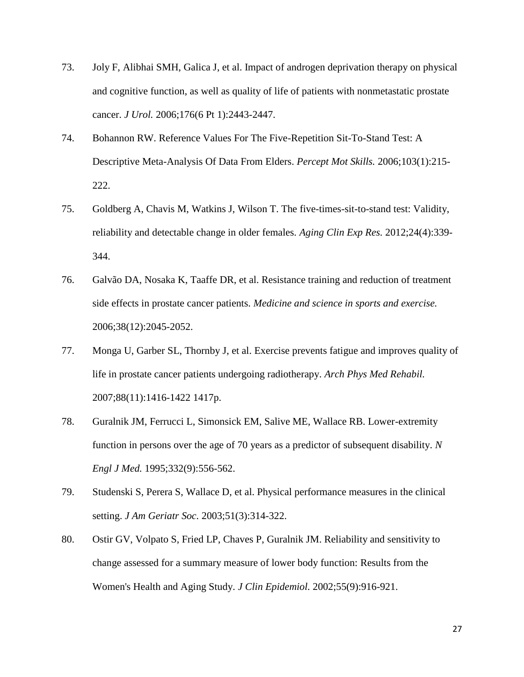- 73. Joly F, Alibhai SMH, Galica J, et al. Impact of androgen deprivation therapy on physical and cognitive function, as well as quality of life of patients with nonmetastatic prostate cancer. *J Urol.* 2006;176(6 Pt 1):2443-2447.
- 74. Bohannon RW. Reference Values For The Five-Repetition Sit-To-Stand Test: A Descriptive Meta-Analysis Of Data From Elders. *Percept Mot Skills.* 2006;103(1):215- 222.
- 75. Goldberg A, Chavis M, Watkins J, Wilson T. The five-times-sit-to-stand test: Validity, reliability and detectable change in older females. *Aging Clin Exp Res.* 2012;24(4):339- 344.
- 76. Galvão DA, Nosaka K, Taaffe DR, et al. Resistance training and reduction of treatment side effects in prostate cancer patients. *Medicine and science in sports and exercise.*  2006;38(12):2045-2052.
- 77. Monga U, Garber SL, Thornby J, et al. Exercise prevents fatigue and improves quality of life in prostate cancer patients undergoing radiotherapy. *Arch Phys Med Rehabil.*  2007;88(11):1416-1422 1417p.
- 78. Guralnik JM, Ferrucci L, Simonsick EM, Salive ME, Wallace RB. Lower-extremity function in persons over the age of 70 years as a predictor of subsequent disability. *N Engl J Med.* 1995;332(9):556-562.
- 79. Studenski S, Perera S, Wallace D, et al. Physical performance measures in the clinical setting. *J Am Geriatr Soc.* 2003;51(3):314-322.
- 80. Ostir GV, Volpato S, Fried LP, Chaves P, Guralnik JM. Reliability and sensitivity to change assessed for a summary measure of lower body function: Results from the Women's Health and Aging Study. *J Clin Epidemiol.* 2002;55(9):916-921.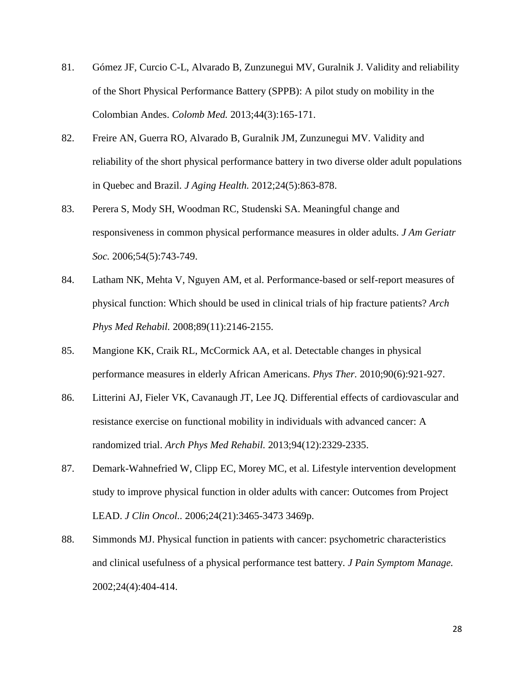- 81. Gómez JF, Curcio C-L, Alvarado B, Zunzunegui MV, Guralnik J. Validity and reliability of the Short Physical Performance Battery (SPPB): A pilot study on mobility in the Colombian Andes. *Colomb Med.* 2013;44(3):165-171.
- 82. Freire AN, Guerra RO, Alvarado B, Guralnik JM, Zunzunegui MV. Validity and reliability of the short physical performance battery in two diverse older adult populations in Quebec and Brazil. *J Aging Health.* 2012;24(5):863-878.
- 83. Perera S, Mody SH, Woodman RC, Studenski SA. Meaningful change and responsiveness in common physical performance measures in older adults. *J Am Geriatr Soc.* 2006;54(5):743-749.
- 84. Latham NK, Mehta V, Nguyen AM, et al. Performance-based or self-report measures of physical function: Which should be used in clinical trials of hip fracture patients? *Arch Phys Med Rehabil.* 2008;89(11):2146-2155.
- 85. Mangione KK, Craik RL, McCormick AA, et al. Detectable changes in physical performance measures in elderly African Americans. *Phys Ther.* 2010;90(6):921-927.
- 86. Litterini AJ, Fieler VK, Cavanaugh JT, Lee JQ. Differential effects of cardiovascular and resistance exercise on functional mobility in individuals with advanced cancer: A randomized trial. *Arch Phys Med Rehabil.* 2013;94(12):2329-2335.
- 87. Demark-Wahnefried W, Clipp EC, Morey MC, et al. Lifestyle intervention development study to improve physical function in older adults with cancer: Outcomes from Project LEAD. *J Clin Oncol..* 2006;24(21):3465-3473 3469p.
- 88. Simmonds MJ. Physical function in patients with cancer: psychometric characteristics and clinical usefulness of a physical performance test battery. *J Pain Symptom Manage.*  2002;24(4):404-414.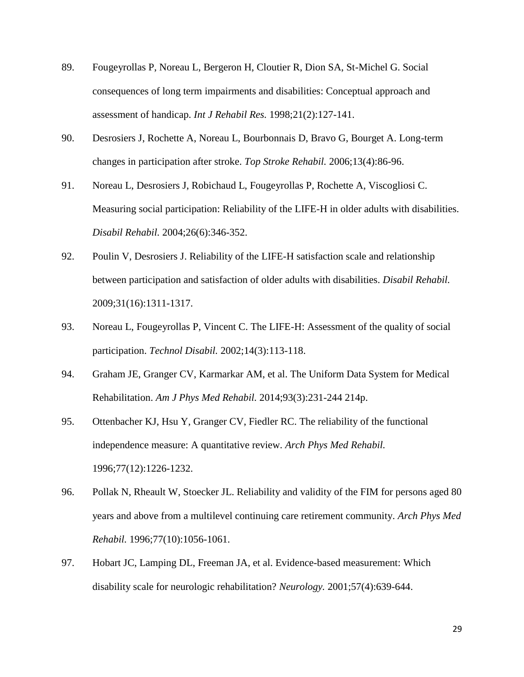- 89. Fougeyrollas P, Noreau L, Bergeron H, Cloutier R, Dion SA, St-Michel G. Social consequences of long term impairments and disabilities: Conceptual approach and assessment of handicap. *Int J Rehabil Res.* 1998;21(2):127-141.
- 90. Desrosiers J, Rochette A, Noreau L, Bourbonnais D, Bravo G, Bourget A. Long-term changes in participation after stroke. *Top Stroke Rehabil.* 2006;13(4):86-96.
- 91. Noreau L, Desrosiers J, Robichaud L, Fougeyrollas P, Rochette A, Viscogliosi C. Measuring social participation: Reliability of the LIFE-H in older adults with disabilities. *Disabil Rehabil.* 2004;26(6):346-352.
- 92. Poulin V, Desrosiers J. Reliability of the LIFE-H satisfaction scale and relationship between participation and satisfaction of older adults with disabilities. *Disabil Rehabil.*  2009;31(16):1311-1317.
- 93. Noreau L, Fougeyrollas P, Vincent C. The LIFE-H: Assessment of the quality of social participation. *Technol Disabil.* 2002;14(3):113-118.
- 94. Graham JE, Granger CV, Karmarkar AM, et al. The Uniform Data System for Medical Rehabilitation. *Am J Phys Med Rehabil.* 2014;93(3):231-244 214p.
- 95. Ottenbacher KJ, Hsu Y, Granger CV, Fiedler RC. The reliability of the functional independence measure: A quantitative review. *Arch Phys Med Rehabil.*  1996;77(12):1226-1232.
- 96. Pollak N, Rheault W, Stoecker JL. Reliability and validity of the FIM for persons aged 80 years and above from a multilevel continuing care retirement community. *Arch Phys Med Rehabil.* 1996;77(10):1056-1061.
- 97. Hobart JC, Lamping DL, Freeman JA, et al. Evidence-based measurement: Which disability scale for neurologic rehabilitation? *Neurology.* 2001;57(4):639-644.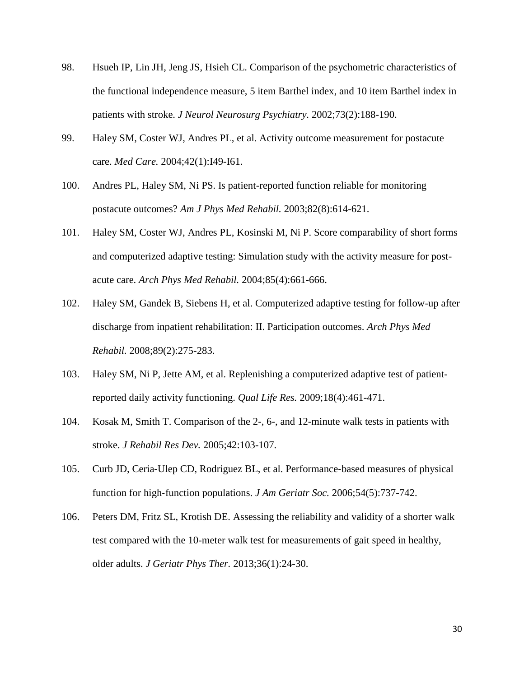- 98. Hsueh IP, Lin JH, Jeng JS, Hsieh CL. Comparison of the psychometric characteristics of the functional independence measure, 5 item Barthel index, and 10 item Barthel index in patients with stroke. *J Neurol Neurosurg Psychiatry.* 2002;73(2):188-190.
- 99. Haley SM, Coster WJ, Andres PL, et al. Activity outcome measurement for postacute care. *Med Care.* 2004;42(1):I49-I61.
- 100. Andres PL, Haley SM, Ni PS. Is patient-reported function reliable for monitoring postacute outcomes? *Am J Phys Med Rehabil.* 2003;82(8):614-621.
- 101. Haley SM, Coster WJ, Andres PL, Kosinski M, Ni P. Score comparability of short forms and computerized adaptive testing: Simulation study with the activity measure for postacute care. *Arch Phys Med Rehabil.* 2004;85(4):661-666.
- 102. Haley SM, Gandek B, Siebens H, et al. Computerized adaptive testing for follow-up after discharge from inpatient rehabilitation: II. Participation outcomes. *Arch Phys Med Rehabil.* 2008;89(2):275-283.
- 103. Haley SM, Ni P, Jette AM, et al. Replenishing a computerized adaptive test of patientreported daily activity functioning. *Qual Life Res.* 2009;18(4):461-471.
- 104. Kosak M, Smith T. Comparison of the 2-, 6-, and 12-minute walk tests in patients with stroke. *J Rehabil Res Dev.* 2005;42:103-107.
- 105. Curb JD, Ceria-Ulep CD, Rodriguez BL, et al. Performance-based measures of physical function for high‐function populations. *J Am Geriatr Soc.* 2006;54(5):737-742.
- 106. Peters DM, Fritz SL, Krotish DE. Assessing the reliability and validity of a shorter walk test compared with the 10-meter walk test for measurements of gait speed in healthy, older adults. *J Geriatr Phys Ther.* 2013;36(1):24-30.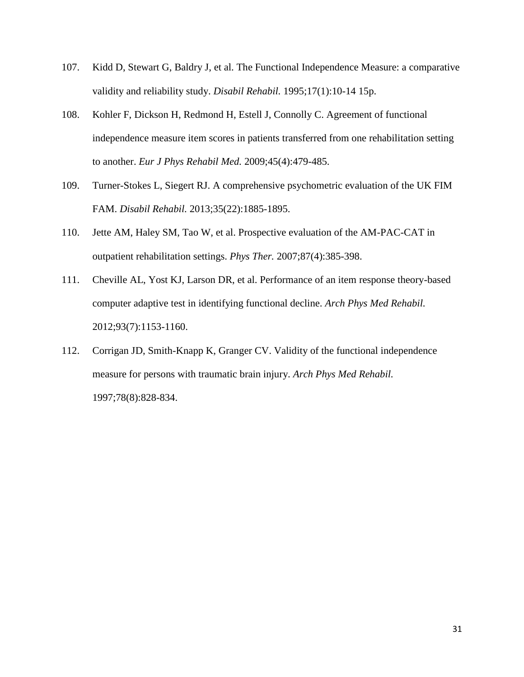- 107. Kidd D, Stewart G, Baldry J, et al. The Functional Independence Measure: a comparative validity and reliability study. *Disabil Rehabil.* 1995;17(1):10-14 15p.
- 108. Kohler F, Dickson H, Redmond H, Estell J, Connolly C. Agreement of functional independence measure item scores in patients transferred from one rehabilitation setting to another. *Eur J Phys Rehabil Med.* 2009;45(4):479-485.
- 109. Turner-Stokes L, Siegert RJ. A comprehensive psychometric evaluation of the UK FIM FAM. *Disabil Rehabil.* 2013;35(22):1885-1895.
- 110. Jette AM, Haley SM, Tao W, et al. Prospective evaluation of the AM-PAC-CAT in outpatient rehabilitation settings. *Phys Ther.* 2007;87(4):385-398.
- 111. Cheville AL, Yost KJ, Larson DR, et al. Performance of an item response theory-based computer adaptive test in identifying functional decline. *Arch Phys Med Rehabil.*  2012;93(7):1153-1160.
- 112. Corrigan JD, Smith-Knapp K, Granger CV. Validity of the functional independence measure for persons with traumatic brain injury. *Arch Phys Med Rehabil.*  1997;78(8):828-834.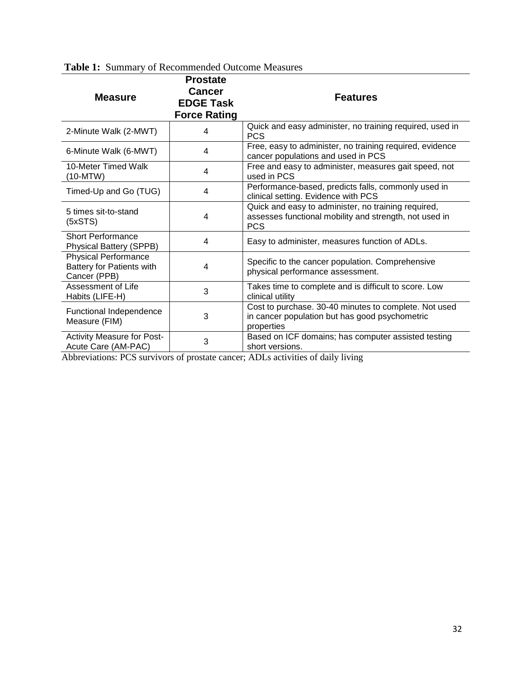| <b>radio 1.</b> Dummary or recommended Outcome incasures                        |                                                                             |                                                                                                                             |  |  |
|---------------------------------------------------------------------------------|-----------------------------------------------------------------------------|-----------------------------------------------------------------------------------------------------------------------------|--|--|
| <b>Measure</b>                                                                  | <b>Prostate</b><br><b>Cancer</b><br><b>EDGE Task</b><br><b>Force Rating</b> | <b>Features</b>                                                                                                             |  |  |
| 2-Minute Walk (2-MWT)                                                           | 4                                                                           | Quick and easy administer, no training required, used in<br><b>PCS</b>                                                      |  |  |
| 6-Minute Walk (6-MWT)                                                           | 4                                                                           | Free, easy to administer, no training required, evidence<br>cancer populations and used in PCS                              |  |  |
| 10-Meter Timed Walk<br>(10-MTW)                                                 | 4                                                                           | Free and easy to administer, measures gait speed, not<br>used in PCS                                                        |  |  |
| Timed-Up and Go (TUG)                                                           | $\overline{4}$                                                              | Performance-based, predicts falls, commonly used in<br>clinical setting. Evidence with PCS                                  |  |  |
| 5 times sit-to-stand<br>(5xSTS)                                                 | $\overline{4}$                                                              | Quick and easy to administer, no training required,<br>assesses functional mobility and strength, not used in<br><b>PCS</b> |  |  |
| <b>Short Performance</b><br><b>Physical Battery (SPPB)</b>                      | $\overline{\mathbf{4}}$                                                     | Easy to administer, measures function of ADLs.                                                                              |  |  |
| <b>Physical Performance</b><br><b>Battery for Patients with</b><br>Cancer (PPB) | 4                                                                           | Specific to the cancer population. Comprehensive<br>physical performance assessment.                                        |  |  |
| Assessment of Life<br>Habits (LIFE-H)                                           | 3                                                                           | Takes time to complete and is difficult to score. Low<br>clinical utility                                                   |  |  |
| Functional Independence<br>Measure (FIM)                                        | 3                                                                           | Cost to purchase. 30-40 minutes to complete. Not used<br>in cancer population but has good psychometric<br>properties       |  |  |
| <b>Activity Measure for Post-</b><br>Acute Care (AM-PAC)                        | 3                                                                           | Based on ICF domains; has computer assisted testing<br>short versions.<br>$\alpha$ and $\alpha$ and $\alpha$                |  |  |

## **Table 1:** Summary of Recommended Outcome Measures

Abbreviations: PCS survivors of prostate cancer; ADLs activities of daily living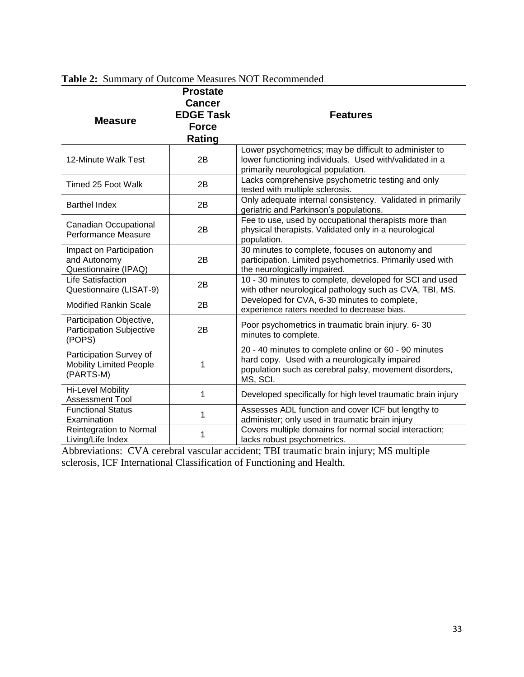|                                                                        | <b>Prostate</b>  |                                                                                                                                                                               |
|------------------------------------------------------------------------|------------------|-------------------------------------------------------------------------------------------------------------------------------------------------------------------------------|
|                                                                        | <b>Cancer</b>    |                                                                                                                                                                               |
|                                                                        | <b>EDGE Task</b> | <b>Features</b>                                                                                                                                                               |
| <b>Measure</b>                                                         | <b>Force</b>     |                                                                                                                                                                               |
|                                                                        | Rating           |                                                                                                                                                                               |
| 12-Minute Walk Test                                                    | 2B               | Lower psychometrics; may be difficult to administer to<br>lower functioning individuals. Used with/validated in a<br>primarily neurological population.                       |
| Timed 25 Foot Walk                                                     | 2B               | Lacks comprehensive psychometric testing and only<br>tested with multiple sclerosis.                                                                                          |
| <b>Barthel Index</b>                                                   | 2B               | Only adequate internal consistency. Validated in primarily<br>geriatric and Parkinson's populations.                                                                          |
| Canadian Occupational<br>Performance Measure                           | 2B               | Fee to use, used by occupational therapists more than<br>physical therapists. Validated only in a neurological<br>population.                                                 |
| Impact on Participation<br>and Autonomy<br>Questionnaire (IPAQ)        | 2B               | 30 minutes to complete, focuses on autonomy and<br>participation. Limited psychometrics. Primarily used with<br>the neurologically impaired.                                  |
| <b>Life Satisfaction</b><br>Questionnaire (LISAT-9)                    | 2B               | 10 - 30 minutes to complete, developed for SCI and used<br>with other neurological pathology such as CVA, TBI, MS.                                                            |
| <b>Modified Rankin Scale</b>                                           | 2B               | Developed for CVA, 6-30 minutes to complete,<br>experience raters needed to decrease bias.                                                                                    |
| Participation Objective,<br><b>Participation Subjective</b><br>(POPS)  | 2B               | Poor psychometrics in traumatic brain injury. 6-30<br>minutes to complete.                                                                                                    |
| Participation Survey of<br><b>Mobility Limited People</b><br>(PARTS-M) | 1                | 20 - 40 minutes to complete online or 60 - 90 minutes<br>hard copy. Used with a neurologically impaired<br>population such as cerebral palsy, movement disorders,<br>MS, SCI. |
| Hi-Level Mobility<br>Assessment Tool                                   | 1                | Developed specifically for high level traumatic brain injury                                                                                                                  |
| <b>Functional Status</b><br>Examination                                | 1                | Assesses ADL function and cover ICF but lengthy to<br>administer; only used in traumatic brain injury                                                                         |
| Reintegration to Normal<br>Living/Life Index                           | 1                | Covers multiple domains for normal social interaction;<br>lacks robust psychometrics.                                                                                         |

# **Table 2:** Summary of Outcome Measures NOT Recommended

Abbreviations: CVA cerebral vascular accident; TBI traumatic brain injury; MS multiple sclerosis, ICF International Classification of Functioning and Health.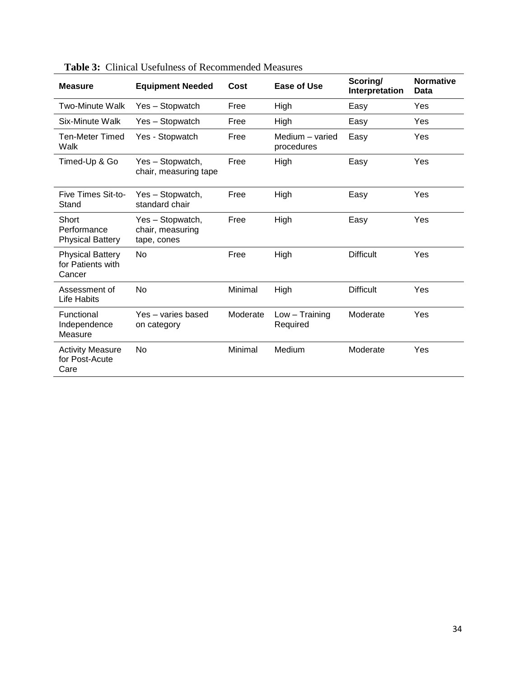| <b>Measure</b>                                         | <b>Equipment Needed</b>                             | Cost     | Ease of Use                   | Scoring/<br>Interpretation | <b>Normative</b><br>Data |
|--------------------------------------------------------|-----------------------------------------------------|----------|-------------------------------|----------------------------|--------------------------|
| Two-Minute Walk                                        | Yes - Stopwatch                                     | Free     | High                          | Easy                       | Yes                      |
| Six-Minute Walk                                        | Yes - Stopwatch                                     | Free     | High                          | Easy                       | Yes                      |
| <b>Ten-Meter Timed</b><br>Walk                         | Yes - Stopwatch                                     | Free     | Medium - varied<br>procedures | Easy                       | Yes                      |
| Timed-Up & Go                                          | Yes - Stopwatch,<br>chair, measuring tape           | Free     | High                          | Easy                       | Yes                      |
| Five Times Sit-to-<br>Stand                            | Yes - Stopwatch,<br>standard chair                  | Free     | High                          | Easy                       | Yes                      |
| Short<br>Performance<br><b>Physical Battery</b>        | Yes - Stopwatch,<br>chair, measuring<br>tape, cones | Free     | High                          | Easy                       | Yes                      |
| <b>Physical Battery</b><br>for Patients with<br>Cancer | N <sub>o</sub>                                      | Free     | High                          | <b>Difficult</b>           | Yes                      |
| Assessment of<br>Life Habits                           | N <sub>o</sub>                                      | Minimal  | High                          | <b>Difficult</b>           | Yes                      |
| Functional<br>Independence<br>Measure                  | Yes - varies based<br>on category                   | Moderate | $Low - Training$<br>Required  | Moderate                   | Yes                      |
| <b>Activity Measure</b><br>for Post-Acute<br>Care      | No                                                  | Minimal  | Medium                        | Moderate                   | Yes                      |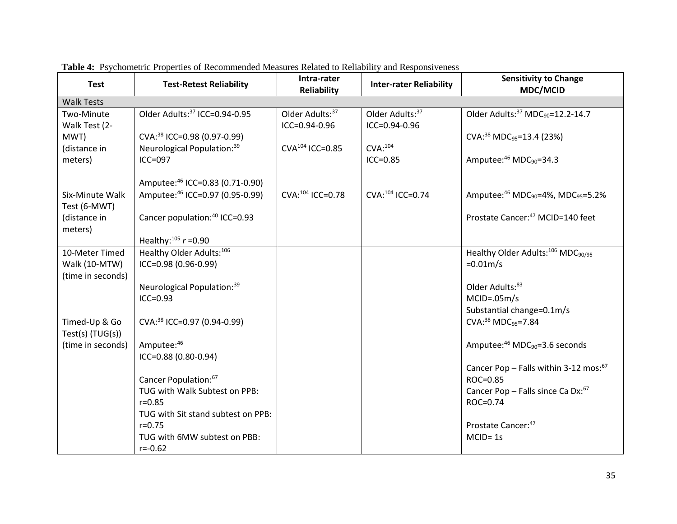| <b>Test</b>        | <b>Test-Retest Reliability</b>            | Intra-rater<br><b>Reliability</b> | <b>Inter-rater Reliability</b> | <b>Sensitivity to Change</b><br><b>MDC/MCID</b>            |
|--------------------|-------------------------------------------|-----------------------------------|--------------------------------|------------------------------------------------------------|
| <b>Walk Tests</b>  |                                           |                                   |                                |                                                            |
| Two-Minute         | Older Adults: <sup>37</sup> ICC=0.94-0.95 | Older Adults: 37                  | Older Adults: 37               | Older Adults: 37 MDC <sub>90</sub> =12.2-14.7              |
| Walk Test (2-      |                                           | $ICC = 0.94 - 0.96$               | ICC=0.94-0.96                  |                                                            |
| MWT)               | CVA: <sup>38</sup> ICC=0.98 (0.97-0.99)   |                                   |                                | CVA: <sup>38</sup> MDC <sub>95</sub> =13.4 (23%)           |
| (distance in       | Neurological Population: 39               | $CVA104$ ICC=0.85                 | $CVA$ : $104$                  |                                                            |
| meters)            | ICC=097                                   |                                   | $ICC = 0.85$                   | Amputee: $46 \text{ MDC}_{90} = 34.3$                      |
|                    |                                           |                                   |                                |                                                            |
|                    | Amputee: 46 ICC=0.83 (0.71-0.90)          |                                   |                                |                                                            |
| Six-Minute Walk    | Amputee: 46 ICC=0.97 (0.95-0.99)          | CVA: 104 ICC=0.78                 | CVA: 104 ICC=0.74              | Amputee: 46 MDC <sub>90</sub> =4%, MDC <sub>95</sub> =5.2% |
| Test (6-MWT)       |                                           |                                   |                                |                                                            |
| (distance in       | Cancer population: <sup>40</sup> ICC=0.93 |                                   |                                | Prostate Cancer: <sup>47</sup> MCID=140 feet               |
| meters)            |                                           |                                   |                                |                                                            |
|                    | Healthy: $^{105}$ r =0.90                 |                                   |                                |                                                            |
| 10-Meter Timed     | Healthy Older Adults: <sup>106</sup>      |                                   |                                | Healthy Older Adults: <sup>106</sup> MDC <sub>90/95</sub>  |
| Walk (10-MTW)      | ICC=0.98 (0.96-0.99)                      |                                   |                                | $=0.01m/s$                                                 |
| (time in seconds)  |                                           |                                   |                                |                                                            |
|                    | Neurological Population: 39               |                                   |                                | Older Adults:83                                            |
|                    | $ICC = 0.93$                              |                                   |                                | $MCID = .05m/s$                                            |
|                    |                                           |                                   |                                | Substantial change=0.1m/s                                  |
| Timed-Up & Go      | CVA: <sup>38</sup> ICC=0.97 (0.94-0.99)   |                                   |                                | CVA: <sup>38</sup> MDC <sub>95</sub> =7.84                 |
| $Test(s)$ (TUG(s)) |                                           |                                   |                                |                                                            |
| (time in seconds)  | Amputee:46                                |                                   |                                | Amputee: $46 \text{ MDC}_{90} = 3.6 \text{ seconds}$       |
|                    | ICC=0.88 (0.80-0.94)                      |                                   |                                |                                                            |
|                    |                                           |                                   |                                | Cancer Pop - Falls within 3-12 mos: <sup>67</sup>          |
|                    | Cancer Population: <sup>67</sup>          |                                   |                                | ROC=0.85                                                   |
|                    | TUG with Walk Subtest on PPB:             |                                   |                                | Cancer Pop - Falls since Ca Dx:67                          |
|                    | $r = 0.85$                                |                                   |                                | ROC=0.74                                                   |
|                    | TUG with Sit stand subtest on PPB:        |                                   |                                |                                                            |
|                    | $r = 0.75$                                |                                   |                                | Prostate Cancer: 47                                        |
|                    | TUG with 6MW subtest on PBB:              |                                   |                                | $MCID = 1s$                                                |
|                    | $r = -0.62$                               |                                   |                                |                                                            |

**Table 4:** Psychometric Properties of Recommended Measures Related to Reliability and Responsiveness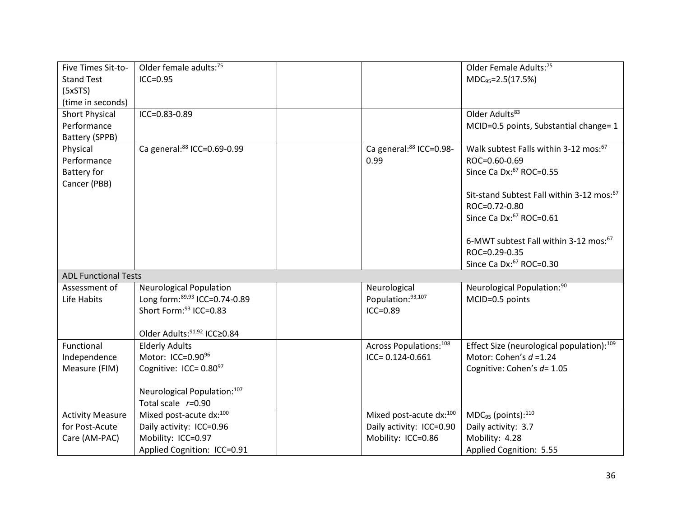| Five Times Sit-to-                   | Older female adults: <sup>75</sup>      |                          | Older Female Adults: <sup>75</sup>                    |
|--------------------------------------|-----------------------------------------|--------------------------|-------------------------------------------------------|
| <b>Stand Test</b>                    | $ICC = 0.95$                            |                          | MDC <sub>95</sub> =2.5(17.5%)                         |
| (5xSTS)                              |                                         |                          |                                                       |
| (time in seconds)                    | ICC=0.83-0.89                           |                          | Older Adults <sup>83</sup>                            |
| <b>Short Physical</b><br>Performance |                                         |                          | MCID=0.5 points, Substantial change= 1                |
| Battery (SPPB)                       |                                         |                          |                                                       |
| Physical                             | Ca general:88 ICC=0.69-0.99             | Ca general:88 ICC=0.98-  | Walk subtest Falls within 3-12 mos: <sup>67</sup>     |
| Performance                          |                                         | 0.99                     | ROC=0.60-0.69                                         |
| <b>Battery for</b>                   |                                         |                          | Since Ca Dx: <sup>67</sup> ROC=0.55                   |
| Cancer (PBB)                         |                                         |                          |                                                       |
|                                      |                                         |                          | Sit-stand Subtest Fall within 3-12 mos: <sup>67</sup> |
|                                      |                                         |                          | ROC=0.72-0.80                                         |
|                                      |                                         |                          | Since Ca Dx: <sup>67</sup> ROC=0.61                   |
|                                      |                                         |                          |                                                       |
|                                      |                                         |                          | 6-MWT subtest Fall within 3-12 mos: <sup>67</sup>     |
|                                      |                                         |                          | ROC=0.29-0.35                                         |
|                                      |                                         |                          | Since Ca Dx: <sup>67</sup> ROC=0.30                   |
| <b>ADL Functional Tests</b>          |                                         |                          |                                                       |
| Assessment of                        | <b>Neurological Population</b>          | Neurological             | Neurological Population: <sup>90</sup>                |
| Life Habits                          | Long form: 89,93 ICC=0.74-0.89          | Population:93,107        | MCID=0.5 points                                       |
|                                      | Short Form: 93 ICC=0.83                 | $ICC = 0.89$             |                                                       |
|                                      |                                         |                          |                                                       |
|                                      | Older Adults: <sup>91,92</sup> ICC≥0.84 |                          |                                                       |
| Functional                           | <b>Elderly Adults</b>                   | Across Populations:108   | Effect Size (neurological population): <sup>109</sup> |
| Independence                         | Motor: ICC=0.90 <sup>96</sup>           | ICC= 0.124-0.661         | Motor: Cohen's $d = 1.24$                             |
| Measure (FIM)                        | Cognitive: ICC= $0.80^{97}$             |                          | Cognitive: Cohen's d= 1.05                            |
|                                      | Neurological Population:107             |                          |                                                       |
|                                      | Total scale $r=0.90$                    |                          |                                                       |
| <b>Activity Measure</b>              | Mixed post-acute dx:100                 | Mixed post-acute dx:100  | MDC <sub>95</sub> (points): <sup>110</sup>            |
| for Post-Acute                       | Daily activity: ICC=0.96                | Daily activity: ICC=0.90 | Daily activity: 3.7                                   |
| Care (AM-PAC)                        | Mobility: ICC=0.97                      | Mobility: ICC=0.86       | Mobility: 4.28                                        |
|                                      | Applied Cognition: ICC=0.91             |                          | Applied Cognition: 5.55                               |
|                                      |                                         |                          |                                                       |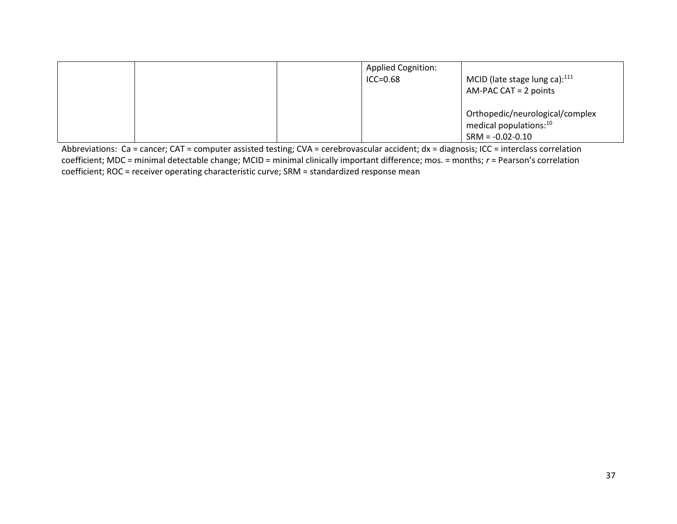|  | <b>Applied Cognition:</b><br>$ICC = 0.68$ | MCID (late stage lung ca): $^{111}$<br>$AM-PAC CAT = 2 points$                                |
|--|-------------------------------------------|-----------------------------------------------------------------------------------------------|
|  |                                           | Orthopedic/neurological/complex<br>medical populations: <sup>10</sup><br>$SRM = -0.02 - 0.10$ |

Abbreviations: Ca = cancer; CAT = computer assisted testing; CVA = cerebrovascular accident; dx = diagnosis; ICC = interclass correlation coefficient; MDC = minimal detectable change; MCID = minimal clinically important difference; mos. = months; *r* = Pearson's correlation coefficient; ROC = receiver operating characteristic curve; SRM = standardized response mean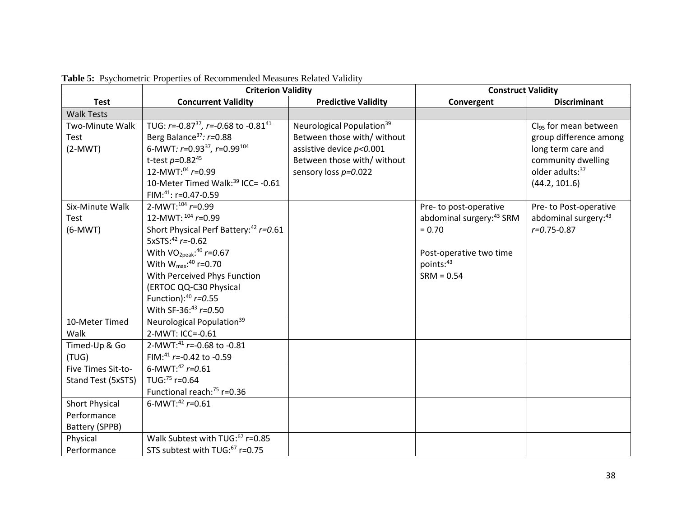|                        | <b>Criterion Validity</b>                           |                                       | <b>Construct Validity</b>            |                                   |
|------------------------|-----------------------------------------------------|---------------------------------------|--------------------------------------|-----------------------------------|
| <b>Test</b>            | <b>Concurrent Validity</b>                          | <b>Predictive Validity</b>            | Convergent                           | <b>Discriminant</b>               |
| <b>Walk Tests</b>      |                                                     |                                       |                                      |                                   |
| <b>Two-Minute Walk</b> | TUG: $r = -0.87^{37}$ , $r = -0.68$ to $-0.81^{41}$ | Neurological Population <sup>39</sup> |                                      | Cl <sub>95</sub> for mean between |
| Test                   | Berg Balance <sup>37</sup> : $r=0.88$               | Between those with/ without           |                                      | group difference among            |
| $(2-MWT)$              | 6-MWT: r=0.93 <sup>37</sup> , r=0.99 <sup>104</sup> | assistive device $p<0.001$            |                                      | long term care and                |
|                        | t-test $p=0.82^{45}$                                | Between those with/ without           |                                      | community dwelling                |
|                        | 12-MWT: $04$ r=0.99                                 | sensory loss $p=0.022$                |                                      | older adults: 37                  |
|                        | 10-Meter Timed Walk: <sup>39</sup> ICC= -0.61       |                                       |                                      | (44.2, 101.6)                     |
|                        | FIM: $41$ : r=0.47-0.59                             |                                       |                                      |                                   |
| Six-Minute Walk        | $2-MWT: ^{104}$ r=0.99                              |                                       | Pre-to post-operative                | Pre- to Post-operative            |
| Test                   | 12-MWT: $^{104}$ r=0.99                             |                                       | abdominal surgery: <sup>43</sup> SRM | abdominal surgery: 43             |
| $(6-MWT)$              | Short Physical Perf Battery: <sup>42</sup> r=0.61   |                                       | $= 0.70$                             | $r = 0.75 - 0.87$                 |
|                        | 5xSTS: $42 r = -0.62$                               |                                       |                                      |                                   |
|                        | With $VO_{2peak}$ : <sup>40</sup> $r = 0.67$        |                                       | Post-operative two time              |                                   |
|                        | With $W_{\text{max}}$ : <sup>40</sup> r=0.70        |                                       | points:43                            |                                   |
|                        | With Perceived Phys Function                        |                                       | $SRM = 0.54$                         |                                   |
|                        | (ERTOC QQ-C30 Physical                              |                                       |                                      |                                   |
|                        | Function): $40 r = 0.55$                            |                                       |                                      |                                   |
|                        | With SF-36:43 $r=0.50$                              |                                       |                                      |                                   |
| 10-Meter Timed         | Neurological Population <sup>39</sup>               |                                       |                                      |                                   |
| Walk                   | 2-MWT: ICC=-0.61                                    |                                       |                                      |                                   |
| Timed-Up & Go          | 2-MWT: <sup>41</sup> $r$ = -0.68 to -0.81           |                                       |                                      |                                   |
| (TUG)                  | FIM: <sup>41</sup> $r = -0.42$ to $-0.59$           |                                       |                                      |                                   |
| Five Times Sit-to-     | 6-MWT: <sup>42</sup> $r=0.61$                       |                                       |                                      |                                   |
| Stand Test (5xSTS)     | TUG: <sup>75</sup> r=0.64                           |                                       |                                      |                                   |
|                        | Functional reach: <sup>75</sup> r=0.36              |                                       |                                      |                                   |
| <b>Short Physical</b>  | 6-MWT: $42 r = 0.61$                                |                                       |                                      |                                   |
| Performance            |                                                     |                                       |                                      |                                   |
| Battery (SPPB)         |                                                     |                                       |                                      |                                   |
| Physical               | Walk Subtest with TUG: <sup>67</sup> r=0.85         |                                       |                                      |                                   |
| Performance            | STS subtest with TUG: <sup>67</sup> r=0.75          |                                       |                                      |                                   |

**Table 5:** Psychometric Properties of Recommended Measures Related Validity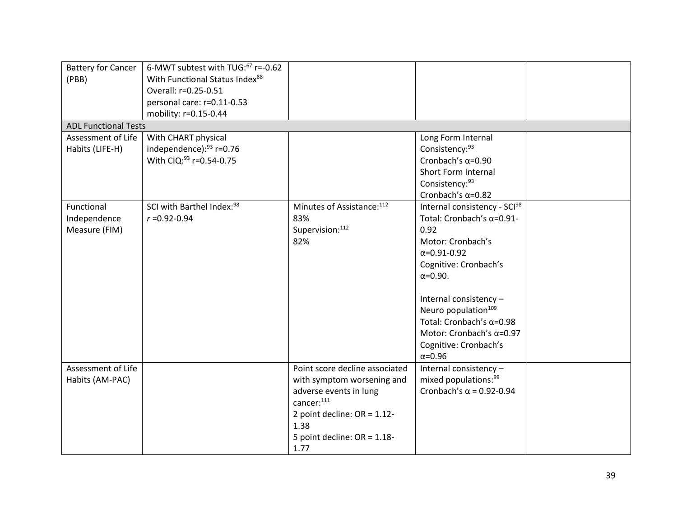| <b>Battery for Cancer</b>   | 6-MWT subtest with TUG: <sup>67</sup> r=-0.62 |                                |                                  |  |
|-----------------------------|-----------------------------------------------|--------------------------------|----------------------------------|--|
| (PBB)                       | With Functional Status Index88                |                                |                                  |  |
|                             | Overall: r=0.25-0.51                          |                                |                                  |  |
|                             | personal care: r=0.11-0.53                    |                                |                                  |  |
|                             | mobility: r=0.15-0.44                         |                                |                                  |  |
| <b>ADL Functional Tests</b> |                                               |                                |                                  |  |
| Assessment of Life          | With CHART physical                           |                                | Long Form Internal               |  |
| Habits (LIFE-H)             | independence): 93 r=0.76                      |                                | Consistency: 93                  |  |
|                             | With CIQ: 93 r=0.54-0.75                      |                                | Cronbach's $\alpha$ =0.90        |  |
|                             |                                               |                                | Short Form Internal              |  |
|                             |                                               |                                | Consistency:93                   |  |
|                             |                                               |                                | Cronbach's $\alpha$ =0.82        |  |
| Functional                  | SCI with Barthel Index: <sup>98</sup>         | Minutes of Assistance: 112     | Internal consistency - SCI98     |  |
| Independence                | $r = 0.92 - 0.94$                             | 83%                            | Total: Cronbach's α=0.91-        |  |
| Measure (FIM)               |                                               | Supervision:112                | 0.92                             |  |
|                             |                                               | 82%                            | Motor: Cronbach's                |  |
|                             |                                               |                                | $\alpha = 0.91 - 0.92$           |  |
|                             |                                               |                                | Cognitive: Cronbach's            |  |
|                             |                                               |                                | $\alpha = 0.90.$                 |  |
|                             |                                               |                                |                                  |  |
|                             |                                               |                                | Internal consistency -           |  |
|                             |                                               |                                | Neuro population <sup>109</sup>  |  |
|                             |                                               |                                | Total: Cronbach's $\alpha$ =0.98 |  |
|                             |                                               |                                | Motor: Cronbach's $\alpha$ =0.97 |  |
|                             |                                               |                                | Cognitive: Cronbach's            |  |
|                             |                                               |                                | $\alpha = 0.96$                  |  |
| Assessment of Life          |                                               | Point score decline associated | Internal consistency -           |  |
| Habits (AM-PAC)             |                                               | with symptom worsening and     | mixed populations: 99            |  |
|                             |                                               | adverse events in lung         | Cronbach's $\alpha$ = 0.92-0.94  |  |
|                             |                                               | cancer:111                     |                                  |  |
|                             |                                               | 2 point decline: $OR = 1.12$ - |                                  |  |
|                             |                                               | 1.38                           |                                  |  |
|                             |                                               | 5 point decline: $OR = 1.18$ - |                                  |  |
|                             |                                               | 1.77                           |                                  |  |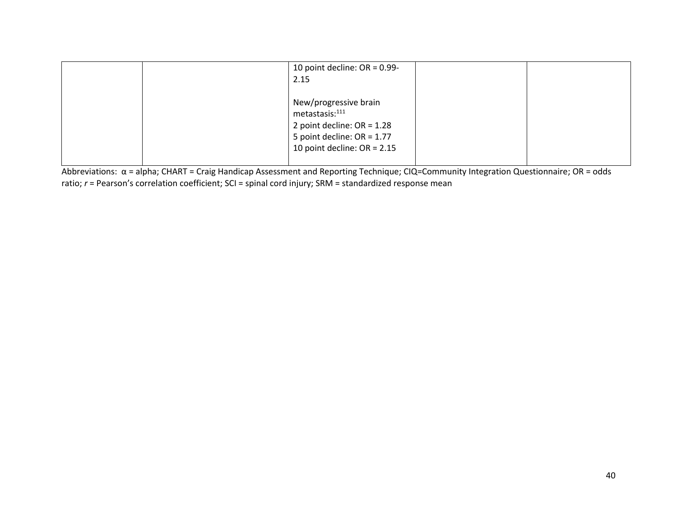| 10 point decline: $OR = 0.99$ -<br>2.15                                                                                                              |  |
|------------------------------------------------------------------------------------------------------------------------------------------------------|--|
| New/progressive brain<br>metastasis: <sup>111</sup><br>2 point decline: $OR = 1.28$<br>5 point decline: $OR = 1.77$<br>10 point decline: $OR = 2.15$ |  |

Abbreviations: α = alpha; CHART = Craig Handicap Assessment and Reporting Technique; CIQ=Community Integration Questionnaire; OR = odds ratio;  $r$  = Pearson's correlation coefficient; SCI = spinal cord injury; SRM = standardized response mean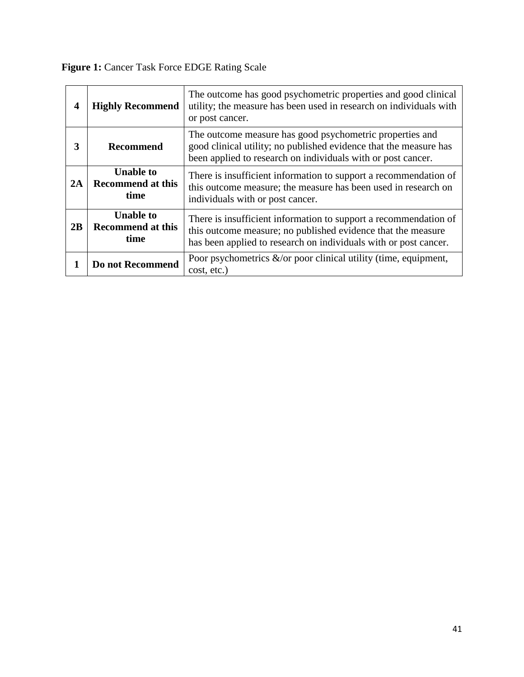**Figure 1:** Cancer Task Force EDGE Rating Scale

| 4  | <b>Highly Recommend</b>                              | The outcome has good psychometric properties and good clinical<br>utility; the measure has been used in research on individuals with<br>or post cancer.                                              |
|----|------------------------------------------------------|------------------------------------------------------------------------------------------------------------------------------------------------------------------------------------------------------|
| 3  | <b>Recommend</b>                                     | The outcome measure has good psychometric properties and<br>good clinical utility; no published evidence that the measure has<br>been applied to research on individuals with or post cancer.        |
| 2A | <b>Unable to</b><br><b>Recommend at this</b><br>time | There is insufficient information to support a recommendation of<br>this outcome measure; the measure has been used in research on<br>individuals with or post cancer.                               |
| 2B | <b>Unable to</b><br><b>Recommend at this</b><br>time | There is insufficient information to support a recommendation of<br>this outcome measure; no published evidence that the measure<br>has been applied to research on individuals with or post cancer. |
|    | Do not Recommend                                     | Poor psychometrics $\&$ /or poor clinical utility (time, equipment,<br>cost, etc.)                                                                                                                   |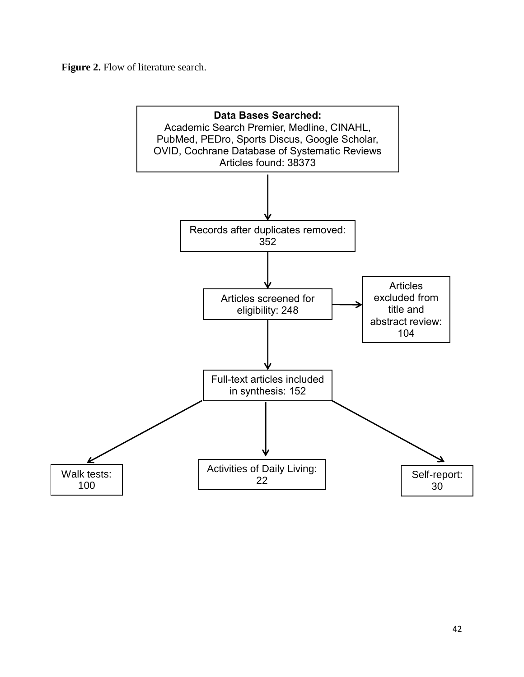**Figure 2.** Flow of literature search.

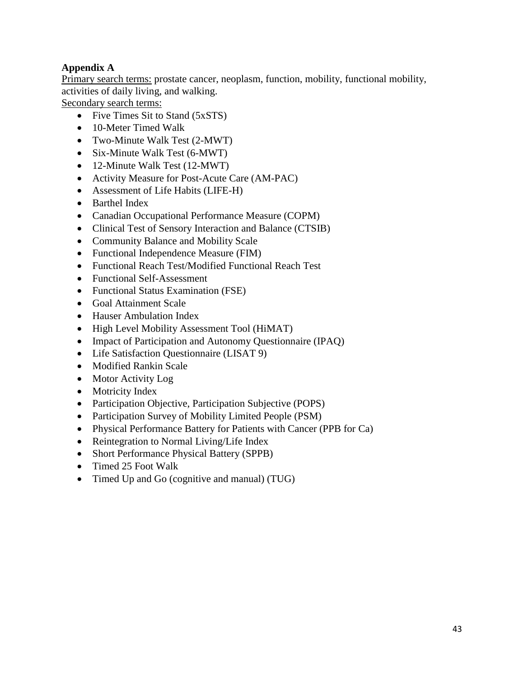# **Appendix A**

Primary search terms: prostate cancer, neoplasm, function, mobility, functional mobility, activities of daily living, and walking.

Secondary search terms:

- Five Times Sit to Stand (5xSTS)
- 10-Meter Timed Walk
- Two-Minute Walk Test (2-MWT)
- Six-Minute Walk Test (6-MWT)
- 12-Minute Walk Test (12-MWT)
- Activity Measure for Post-Acute Care (AM-PAC)
- Assessment of Life Habits (LIFE-H)
- Barthel Index
- Canadian Occupational Performance Measure (COPM)
- Clinical Test of Sensory Interaction and Balance (CTSIB)
- Community Balance and Mobility Scale
- Functional Independence Measure (FIM)
- Functional Reach Test/Modified Functional Reach Test
- Functional Self-Assessment
- Functional Status Examination (FSE)
- Goal Attainment Scale
- Hauser Ambulation Index
- High Level Mobility Assessment Tool (HiMAT)
- Impact of Participation and Autonomy Questionnaire (IPAQ)
- Life Satisfaction Questionnaire (LISAT 9)
- Modified Rankin Scale
- Motor Activity Log
- Motricity Index
- Participation Objective, Participation Subjective (POPS)
- Participation Survey of Mobility Limited People (PSM)
- Physical Performance Battery for Patients with Cancer (PPB for Ca)
- Reintegration to Normal Living/Life Index
- Short Performance Physical Battery (SPPB)
- Timed 25 Foot Walk
- Timed Up and Go (cognitive and manual) (TUG)